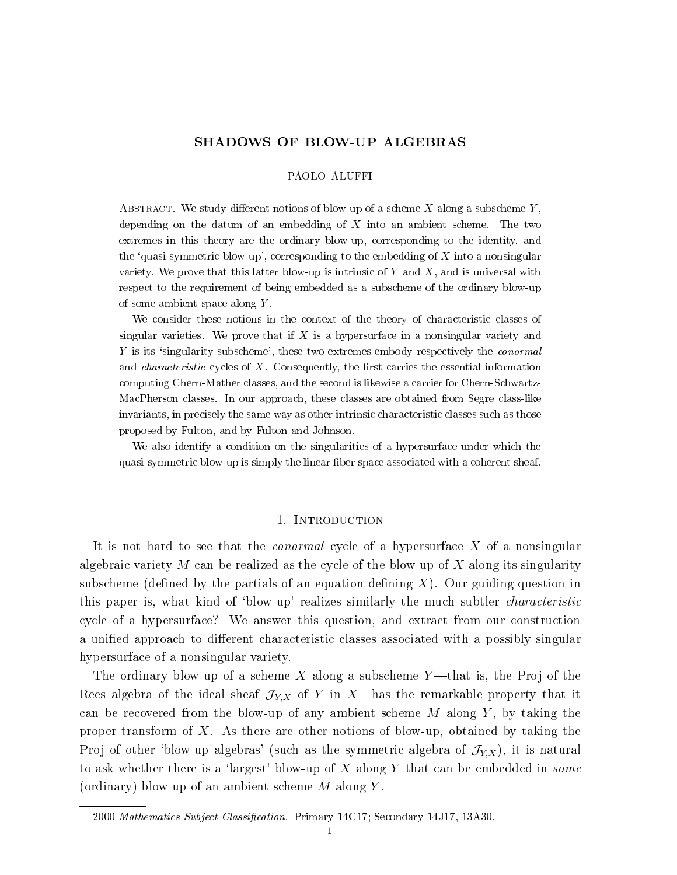# SHADOWS OF BLOW-UP ALGEBRAS

## PAOLO ALUFFI

ABSTRACT. We study different notions of blow-up of a scheme  $X$  along a subscheme  $Y$ , depending on the datum of an embedding of  $X$  into an ambient scheme. The two extremes in this theory are the ordinary blow-up, corresponding to the identity, and the 'quasi-symmetric blow-up', corresponding to the embedding of  $X$  into a nonsingular variety. We prove that this latter blow-up is intrinsic of  $Y$  and  $X$ , and is universal with respect to the requirement of being embedded as a subscheme of the ordinary blow-up of some ambient space along <sup>Y</sup> .

We consider these notions in the context of the theory of characteristic classes of singular varieties. We prove that if  $X$  is a hypersurface in a nonsingular variety and Y is its 'singularity subscheme', these two extremes embody respectively the *conormal* and *characteristic* cycles of  $X$ . Consequently, the first carries the essential information computing Chern-Mather classes, and the second is likewise a carrier for Chern-Schwartz-MacPherson classes. In our approach, these classes are obtained from Segre class-like invariants, in precisely the same way as other intrinsic characteristic classes such as those proposed by Fulton, and by Fulton and Johnson.

We also identify a condition on the singularities of a hypersurface under which the quasi-symmetric blow-up is simply the linear fiber space associated with a coherent sheaf.

### 1. INTRODUCTION

It is not hard to see that the *conormal* cycle of a hypersurface  $X$  of a nonsingular algebraic variety  $M$  can be realized as the cycle of the blow-up of  $X$  along its singularity subscheme (defined by the partials of an equation defining  $X$ ). Our guiding question in this paper is, what kind of 'blow-up' realizes similarly the much subtler *characteristic* cycle of a hypersurface? We answer this question, and extract from our construction a unified approach to different characteristic classes associated with a possibly singular hypersurface of a nonsingular variety.

The ordinary blow-up of a scheme X along a subscheme  $Y$ —that is, the Proj of the Rees algebra of the ideal sheaf  $\mathcal{J}_{Y,X}$  of Y in X—has the remarkable property that it can be recovered from the blow-up of any ambient scheme  $M$  along  $Y$ , by taking the proper transform of  $X$ . As there are other notions of blow-up, obtained by taking the Proj of other 'blow-up algebras' (such as the symmetric algebra of  $\mathcal{J}_{Y,X}$ ), it is natural to ask whether there is a 'largest' blow-up of X along Y that can be embedded in some (ordinary) blow-up of an ambient scheme M along Y.

<sup>2000</sup> Mathematics Subject Classification. Primary 14C17; Secondary 14J17, 13A30.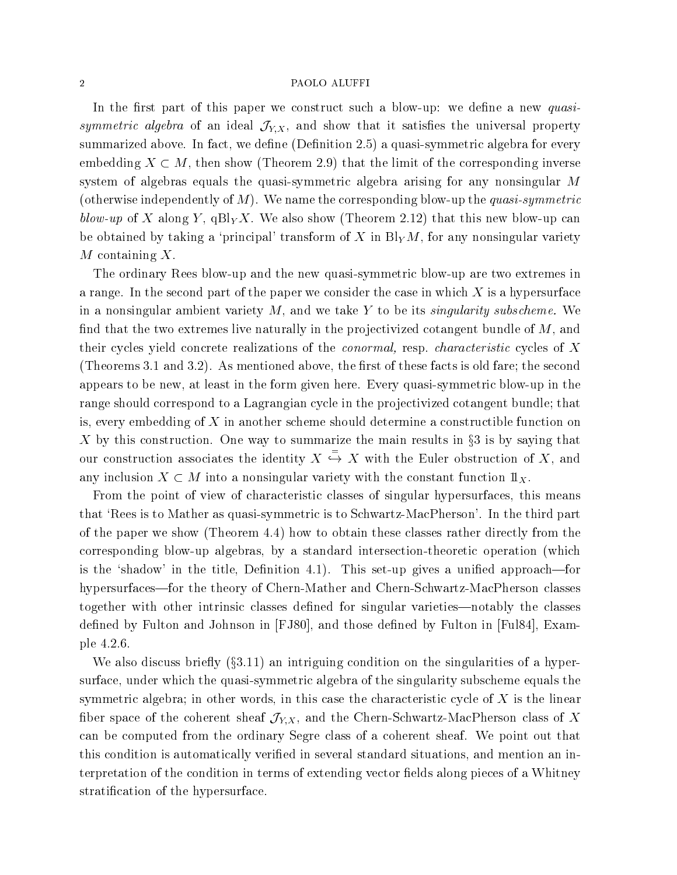In the first part of this paper we construct such a blow-up: we define a new *quasi*symmetric algebra of an ideal  $\mathcal{J}_{Y,X}$ , and show that it satisfies the universal property summarized above. In fact, we define (Definition 2.5) a quasi-symmetric algebra for every embedding  $X \subset M$ , then show (Theorem 2.9) that the limit of the corresponding inverse system of algebras equals the quasi-symmetric algebra arising for any nonsingular M (otherwise independently of  $M$ ). We name the corresponding blow-up the quasi-symmetric blow-up of X along Y,  $qBl_YX$ . We also show (Theorem 2.12) that this new blow-up can be obtained by taking a 'principal' transform of X in  $Bl<sub>Y</sub>M$ , for any nonsingular variety  $M$  containing  $X$ .

The ordinary Rees blow-up and the new quasi-symmetric blow-up are two extremes in a range. In the second part of the paper we consider the case in which  $X$  is a hypersurface in a nonsingular ambient variety  $M$ , and we take Y to be its singularity subscheme. We find that the two extremes live naturally in the projectivized cotangent bundle of  $M$ , and their cycles yield concrete realizations of the conormal, resp. characteristic cycles of X (Theorems 3.1 and 3.2). As mentioned above, the first of these facts is old fare; the second appears to be new, at least in the form given here. Every quasi-symmetric blow-up in the range should correspond to a Lagrangian cycle in the projectivized cotangent bundle; that is, every embedding of  $X$  in another scheme should determine a constructible function on X by this construction. One way to summarize the main results in  $\S 3$  is by saying that our construction associates the identity  $\mathcal{N}$  associates the identity  $\mathcal{N}$  $\hookrightarrow X$  with the Euler obstruction of X, and any inclusion  $X \subset M$  into a nonsingular variety with the constant function  $1\!\!1_X$ .

From the point of view of characteristic classes of singular hypersurfaces, this means that 'Rees is to Mather as quasi-symmetric is to Schwartz-MacPherson'. In the third part of the paper we show (Theorem 4.4) how to obtain these classes rather directly from the corresponding blow-up algebras, by a standard intersection-theoretic operation (which is the 'shadow' in the title, Definition 4.1). This set-up gives a unified approach—for hypersurfaces—for the theory of Chern-Mather and Chern-Schwartz-MacPherson classes together with other intrinsic classes defined for singular varieties—notably the classes defined by Fulton and Johnson in [FJ80], and those defined by Fulton in [Ful84], Example 4.2.6.

We also discuss briefly  $(\S 3.11)$  an intriguing condition on the singularities of a hypersurface, under which the quasi-symmetric algebra of the singularity subscheme equals the symmetric algebra; in other words, in this case the characteristic cycle of  $X$  is the linear fiber space of the coherent sheaf  $\mathcal{J}_{Y,X}$ , and the Chern-Schwartz-MacPherson class of X can be computed from the ordinary Segre class of a coherent sheaf. We point out that this condition is automatically veried in several standard situations, and mention an interpretation of the condition in terms of extending vector fields along pieces of a Whitney stratication of the hypersurface.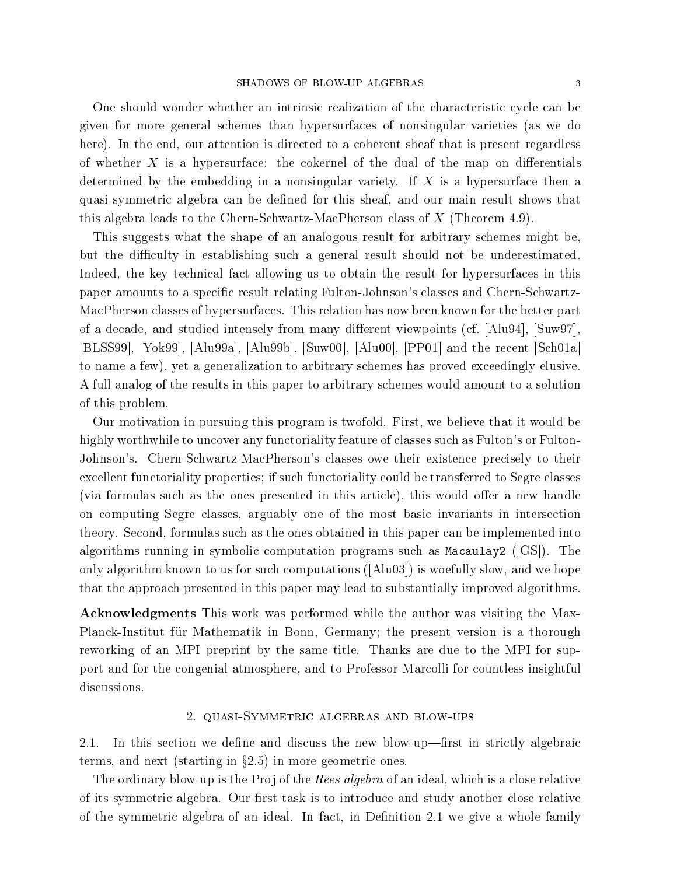One should wonder whether an intrinsic realization of the characteristic cycle can be given for more general schemes than hypersurfaces of nonsingular varieties (as we do here). In the end, our attention is directed to a coherent sheaf that is present regardless of whether  $X$  is a hypersurface: the cokernel of the dual of the map on differentials determined by the embedding in a nonsingular variety. If  $X$  is a hypersurface then a quasi-symmetric algebra can be defined for this sheaf, and our main result shows that this algebra leads to the Chern-Schwartz-MacPherson class of X (Theorem 4.9).

This suggests what the shape of an analogous result for arbitrary schemes might be, but the difficulty in establishing such a general result should not be underestimated. Indeed, the key technical fact allowing us to obtain the result for hypersurfaces in this paper amounts to a specic result relating Fulton-Johnson's classes and Chern-Schwartz-MacPherson classes of hypersurfaces. This relation has now been known for the better part of a decade, and studied intensely from many different viewpoints (cf. [Alu94], [Suw97]. [BLSS99], [Yok99], [Alu99a], [Alu99b], [Suw00], [Alu00], [PP01] and the recent [Sch01a] to name a few), yet a generalization to arbitrary schemes has proved exceedingly elusive. A full analog of the results in this paper to arbitrary schemes would amount to a solution of this problem.

Our motivation in pursuing this program is twofold. First, we believe that it would be highly worthwhile to uncover any functoriality feature of classes such as Fulton's or Fulton-Johnson's. Chern-Schwartz-MacPherson's classes owe their existence precisely to their excellent functoriality properties; if such functoriality could be transferred to Segre classes (via formulas such as the ones presented in this article), this would offer a new handle on computing Segre classes, arguably one of the most basic invariants in intersection theory. Second, formulas such as the ones obtained in this paper can be implemented into algorithms running in symbolic computation programs such as Macaulay2 ([GS]). The only algorithm known to us for such computations ([Alu03]) is woefully slow, and we hope that the approach presented in this paper may lead to substantially improved algorithms.

Acknowledgments This work was performed while the author was visiting the Max-Planck-Institut für Mathematik in Bonn, Germany; the present version is a thorough reworking of an MPI preprint by the same title. Thanks are due to the MPI for support and for the congenial atmosphere, and to Professor Marcolli for countless insightful discussions.

## 2. quasi-Symmetric algebras and blow-ups

2.1. In this section we define and discuss the new blow-up—first in strictly algebraic terms, and next (starting in  $\S 2.5$ ) in more geometric ones.

The ordinary blow-up is the Proj of the *Rees algebra* of an ideal, which is a close relative of its symmetric algebra. Our first task is to introduce and study another close relative of the symmetric algebra of an ideal. In fact, in Definition 2.1 we give a whole family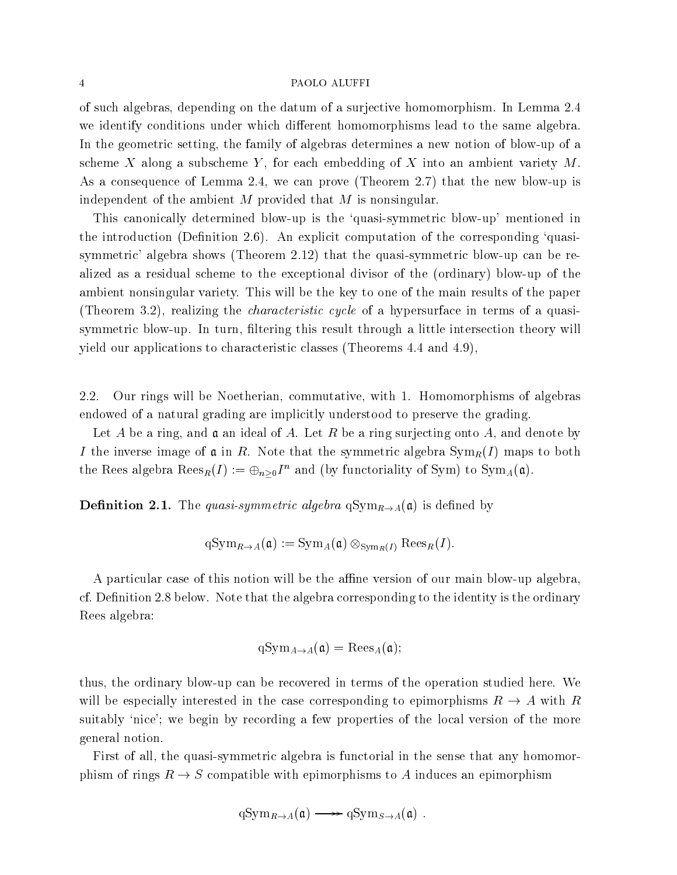of such algebras, depending on the datum of a surjective homomorphism. In Lemma 2.4 we identify conditions under which different homomorphisms lead to the same algebra. In the geometric setting, the family of algebras determines a new notion of blow-up of a scheme X along a subscheme Y, for each embedding of X into an ambient variety  $M$ . As a consequence of Lemma 2.4, we can prove (Theorem 2.7) that the new blow-up is independent of the ambient  $M$  provided that  $M$  is nonsingular.

This canonically determined blow-up is the `quasi-symmetric blow-up' mentioned in the introduction (Definition 2.6). An explicit computation of the corresponding 'quasisymmetric' algebra shows (Theorem 2.12) that the quasi-symmetric blow-up can be realized as a residual scheme to the exceptional divisor of the (ordinary) blow-up of the ambient nonsingular variety. This will be the key to one of the main results of the paper (Theorem 3.2), realizing the *characteristic cycle* of a hypersurface in terms of a quasisymmetric blow-up. In turn, filtering this result through a little intersection theory will yield our applications to characteristic classes (Theorems 4.4 and 4.9),

2.2. Our rings will be Noetherian, commutative, with 1. Homomorphisms of algebras endowed of a natural grading are implicitly understood to preserve the grading.

Let A be a ring, and  $\mathfrak a$  an ideal of A. Let R be a ring surjecting onto A, and denote by I the inverse image of  $\alpha$  in R. Note that the symmetric algebra  $\text{Sym}_R(I)$  maps to both the Rees algebra  $\text{Rees}_R(I) := \oplus_{n\geq 0}I^n$  and (by functoriality of Sym) to Sym<sub>A</sub>(a).

**Definition 2.1.** The quasi-symmetric algebra  $qSym_{R\to A}(\mathfrak{a})$  is defined by

$$
\mathrm{qSym}_{R \to A}(\mathfrak{a}) := \mathrm{Sym}_A(\mathfrak{a}) \otimes_{\mathrm{Sym}_R(I)} \mathrm{Rees}_R(I).
$$

A particular case of this notion will be the affine version of our main blow-up algebra, cf. Definition 2.8 below. Note that the algebra corresponding to the identity is the ordinary Rees algebra:

$$
\mathrm{qSym}_{A\to A}(\mathfrak{a}) = \mathrm{Rees}_A(\mathfrak{a});
$$

thus, the ordinary blow-up can be recovered in terms of the operation studied here. We will be especially interested in the case corresponding to epimorphisms  $R \to A$  with R suitably 'nice'; we begin by recording a few properties of the local version of the more general notion.

First of all, the quasi-symmetric algebra is functorial in the sense that any homomorphism of rings  $R \to S$  compatible with epimorphisms to A induces an epimorphism

$$
\mathrm{qSym}_{R\to A}(\mathfrak{a}) \longrightarrow \mathrm{qSym}_{S\to A}(\mathfrak{a}) .
$$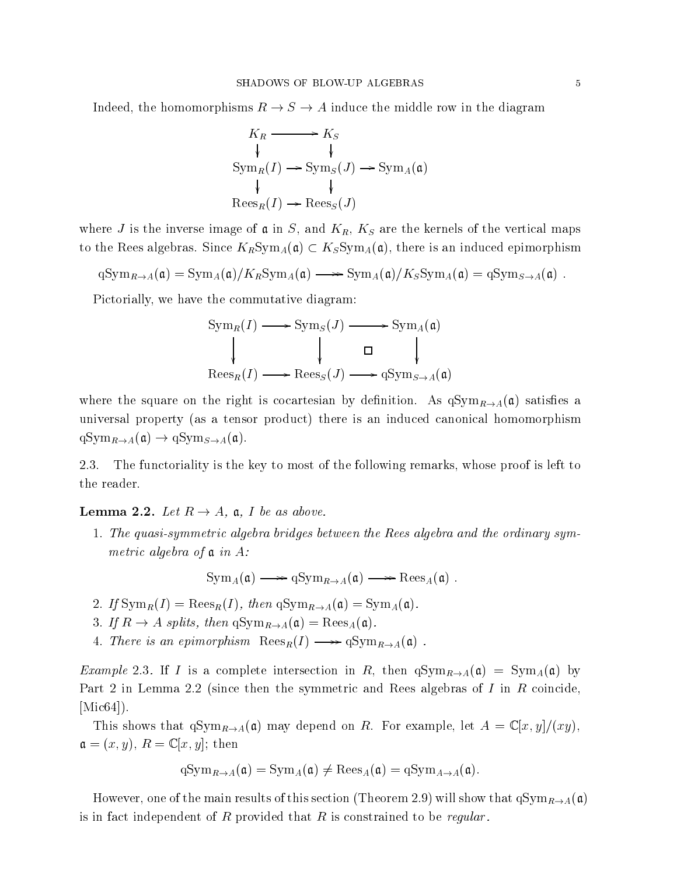Indeed, the homomorphisms  $R \to S \to A$  induce the middle row in the diagram

$$
K_R \longrightarrow K_S
$$
  
\n
$$
\downarrow \qquad \qquad \downarrow
$$
  
\n
$$
Sym_R(I) \longrightarrow Sym_S(J) \longrightarrow Sym_A(\mathfrak{a})
$$
  
\n
$$
\downarrow \qquad \qquad \downarrow
$$
  
\n
$$
Rees_R(I) \longrightarrow Rees_S(J)
$$

where J is the inverse image of  $\alpha$  in S, and  $K_R$ ,  $K_S$  are the kernels of the vertical maps to the Rees algebras. Since  $K_R \text{Sym}_A(\mathfrak{a}) \subset K_S \text{Sym}_A(\mathfrak{a})$ , there is an induced epimorphism

$$
\mathrm{qSym}_{R\to A}(\mathfrak{a})=\mathrm{Sym}_A(\mathfrak{a})/K_R\mathrm{Sym}_A(\mathfrak{a})\longrightarrow \mathrm{Sym}_A(\mathfrak{a})/K_S\mathrm{Sym}_A(\mathfrak{a})=\mathrm{qSym}_{S\to A}(\mathfrak{a})\ .
$$

Pictorially, we have the commutative diagram:

$$
\text{Sym}_R(I) \longrightarrow \text{Sym}_S(J) \longrightarrow \text{Sym}_A(\mathfrak{a})
$$
\n
$$
\downarrow \qquad \qquad \downarrow \qquad \qquad \square \qquad \qquad \downarrow
$$
\n
$$
\text{Rees}_R(I) \longrightarrow \text{Rees}_S(J) \longrightarrow \text{qSym}_{S \to A}(\mathfrak{a})
$$

where the square on the right is cocartesian by definition. As  $qSym_{R\to A}(\mathfrak{a})$  satisfies a universal property (as a tensor product) there is an induced canonical homomorphism  $qSym_{R\to A}(\mathfrak{a}) \to qSym_{S\to A}(\mathfrak{a}).$ 

2.3. The functoriality is the key to most of the following remarks, whose proof is left to the reader.

# **Lemma 2.2.** Let  $R \rightarrow A$ ,  $\mathfrak{a}$ , I be as above.

1. The quasi-symmetric algebra bridges between the Rees algebra and the ordinary symmetric algebra of <sup>a</sup> in A:

$$
\mathrm{Sym}_A(\mathfrak{a}) \longrightarrow \mathrm{qSym}_{R \to A}(\mathfrak{a}) \longrightarrow \mathrm{Rees}_A(\mathfrak{a}) .
$$

- 2. If  $\text{Sym}_R(I) = \text{Rees}_R(I)$ , then  $q\text{Sym}_{R\to A}(\mathfrak{a}) = \text{Sym}_A(\mathfrak{a})$ .
- 3. If  $R \to A$  splits, then  $qSym_{R\to A}(\mathfrak{a}) = Res_A(\mathfrak{a})$ .
- 

4. There is an epimorphism  $\text{Rees}_R(I) \longrightarrow \text{qSym}_{R\to A}(\mathfrak{a})$ .<br>Example 2.3. If I is a complete intersection in R, then  $\text{qSym}_{R\to A}(\mathfrak{a}) = \text{Sym}_A(\mathfrak{a})$  by Part 2 in Lemma 2.2 (since then the symmetric and Rees algebras of I in R coincide, [Mic<sub>64</sub>].

This shows that  $qSym_{R\to A}(\mathfrak{a})$  may depend on R. For example, let  $A = \mathbb{C}[x,y]/(xy)$ ,  $\mathfrak{a} = (x, y), R = \mathbb{C}[x, y];$  then

$$
\mathrm{qSym}_{R\to A}(\mathfrak{a}) = \mathrm{Sym}_A(\mathfrak{a}) \neq \mathrm{Rees}_A(\mathfrak{a}) = \mathrm{qSym}_{A\to A}(\mathfrak{a}).
$$

However, one of the main results of this section (Theorem 2.9) will show that  $qSym_{R\to A}(\mathfrak{a})$ is in fact independent of R provided that R is constrained to be regular.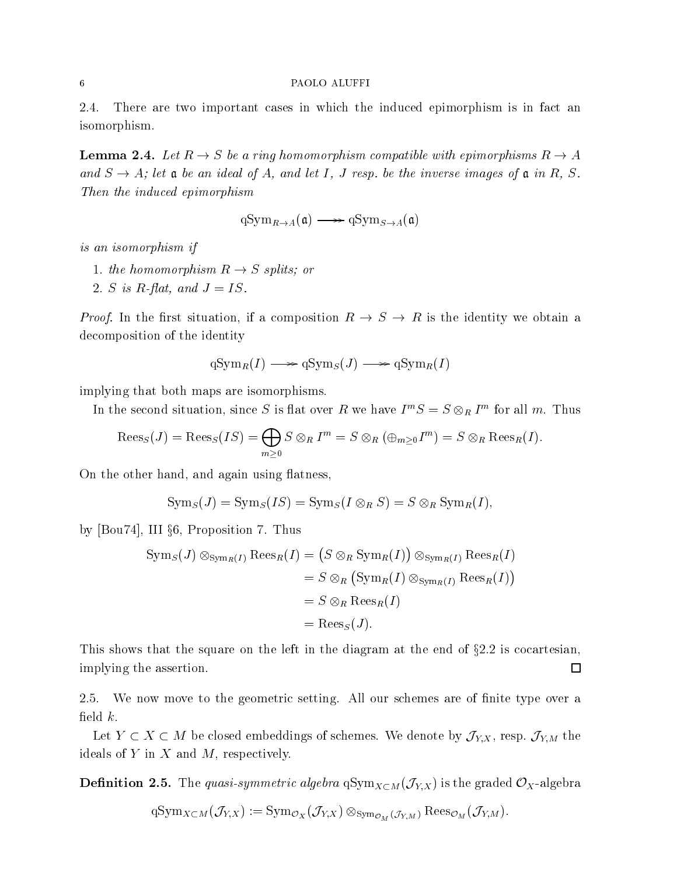2.4. There are two important cases in which the induced epimorphism is in fact an isomorphism.

**Lemma 2.4.** Let  $R \to S$  be a ring homomorphism compatible with epimorphisms  $R \to A$ and  $S \to A$ ; let a be an ideal of A, and let I, J resp. be the inverse images of a in R, S. Then the induced epimorphism

$$
\mathrm{qSym}_{R\to A}(\mathfrak{a}) \longrightarrow \mathrm{qSym}_{S\to A}(\mathfrak{a})
$$

is an isomorphism if

- 1. the homomorphism  $R \rightarrow S$  splits; or
- 2. S is R-flat, and  $J = IS$ .

*Proof.* In the first situation, if a composition  $R \to S \to R$  is the identity we obtain a decomposition of the identity

$$
\mathrm{qSym}_R(I) \longrightarrow \mathrm{qSym}_S(J) \longrightarrow \mathrm{qSym}_R(I)
$$

implying that both maps are isomorphisms.

In the second situation, since S is hat over R we have  $I \supset \supset \supset \otimes_R I$  for all m. Thus

$$
\mathrm{Rees}_S(J) = \mathrm{Rees}_S(IS) = \bigoplus_{m \geq 0} S \otimes_R I^m = S \otimes_R (\oplus_{m \geq 0} I^m) = S \otimes_R \mathrm{Rees}_R(I).
$$

On the other hand, and again using flatness,

$$
Sym_S(J) = Sym_S(IS) = Sym_S(I \otimes_R S) = S \otimes_R Sym_R(I),
$$

by  $[Bou74]$ , III  $\S6$ , Proposition 7. Thus

$$
Sym_S(J) \otimes_{Sym_R(I)} Res_R(I) = (S \otimes_R Sym_R(I)) \otimes_{Sym_R(I)} Res_R(I)
$$
  
=  $S \otimes_R (Sym_R(I) \otimes_{Sym_R(I)} Res_R(I))$   
=  $S \otimes_R Res_R(I)$   
=  $Res_S(J)$ .

This shows that the square on the left in the diagram at the end of  $\S 2.2$  is cocartesian, implying the assertion.  $\Box$ 

2.5. We now move to the geometric setting. All our schemes are of finite type over a field  $k$ .

Let  $Y \subset X \subset M$  be closed embeddings of schemes. We denote by  $\mathcal{J}_{Y,X}$ , resp.  $\mathcal{J}_{Y,M}$  the ideals of  $Y$  in  $X$  and  $M$ , respectively.

**Definition 2.5.** The quasi-symmetric algebra  $qSym_{X\subset M}(\mathcal{J}_{Y,X})$  is the graded  $\mathcal{O}_X$ -algebra

$$
\mathrm{qSym}_{X \subset M}(\mathcal{J}_{Y,X}) := \mathrm{Sym}_{\mathcal{O}_X}(\mathcal{J}_{Y,X}) \otimes_{\mathrm{Sym}_{\mathcal{O}_M}(\mathcal{J}_{Y,M})} \mathrm{Rees}_{\mathcal{O}_M}(\mathcal{J}_{Y,M}).
$$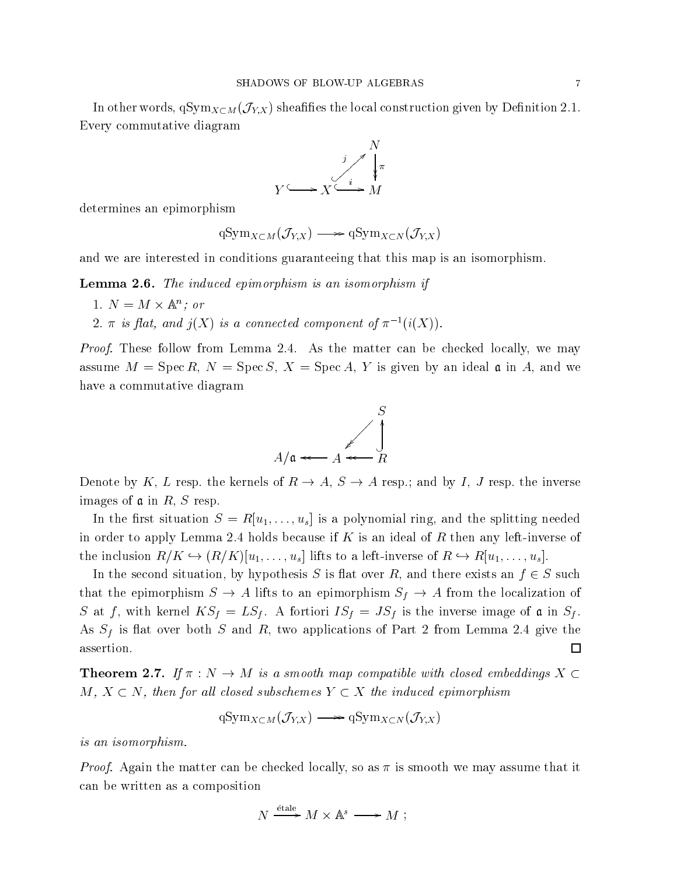In other words,  $qSym_{X\subset M}(\mathcal{J}_{Y,X})$  sheafifies the local construction given by Definition 2.1. Every commutative diagram



determines an epimorphism

$$
\mathrm{qSym}_{X\subset M}(\mathcal{J}_{Y,X})\longrightarrow \mathrm{qSym}_{X\subset N}(\mathcal{J}_{Y,X})
$$

and we are interested in conditions guaranteeing that this map is an isomorphism.

Lemma 2.6. The induced epimorphism is an isomorphism if

- 1.  $IV \equiv M \times A$ ,  $OT$
- 2.  $\pi$  is flat, and  $j(X)$  is a connected component of  $\pi^{-1}(i(X))$ .

Proof. These follow from Lemma 2.4. As the matter can be checked locally, we may assume  $M = \text{Spec } R$ ,  $N = \text{Spec } S$ ,  $X = \text{Spec } A$ , Y is given by an ideal  $\mathfrak{a}$  in A, and we have a commutative diagram



Denote by K, L resp. the kernels of  $R \to A$ ,  $S \to A$  resp.; and by I, J resp. the inverse images of  $\mathfrak a$  in R, S resp.

In the first situation  $S = R[u_1, \ldots, u_s]$  is a polynomial ring, and the splitting needed in order to apply Lemma 2.4 holds because if K is an ideal of R then any left-inverse of the inclusion  $R/K \hookrightarrow (R/K)[u_1,\ldots,u_s]$  lifts to a left-inverse of  $R \hookrightarrow R[u_1,\ldots,u_s]$ .

In the second situation, by hypothesis S is flat over R, and there exists an  $f \in S$  such that the epimorphism  $S \to A$  lifts to an epimorphism  $S_f \to A$  from the localization of S at f, with kernel  $KS_f = LS_f$ . A fortiori  $IS_f = JS_f$  is the inverse image of a in  $S_f$ . As  $S_f$  is flat over both S and R, two applications of Part 2 from Lemma 2.4 give the assertion. 囗

**Theorem 2.7.** If  $\pi : N \to M$  is a smooth map compatible with closed embeddings  $X \subset$  $M, X \subset N$ , then for all closed subschemes  $Y \subset X$  the induced epimorphism

$$
\mathrm{qSym}_{X \subset M}(\mathcal{J}_{Y,X}) \longrightarrow \mathrm{qSym}_{X \subset N}(\mathcal{J}_{Y,X})
$$

is an isomorphism.

*Proof.* Again the matter can be checked locally, so as  $\pi$  is smooth we may assume that it can be written as a composition

$$
N \xrightarrow{\text{\'etale}} M \times \mathbb{A}^s \longrightarrow M ;
$$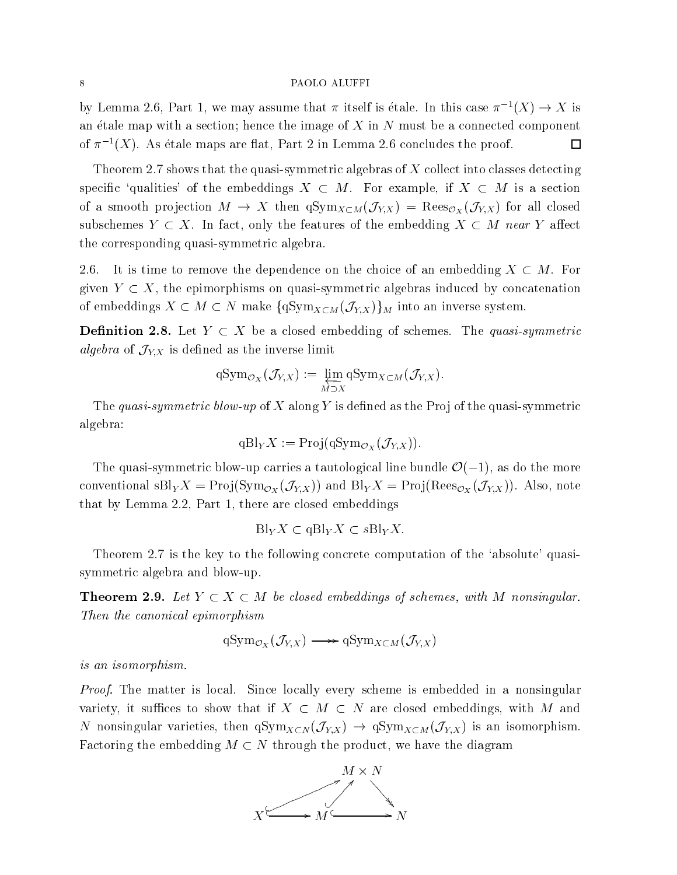by Lemma 2.6, Part 1, we may assume that  $\pi$  itself is étale. In this case  $\pi^{-1}(X) \to X$  is an étale map with a section; hence the image of  $X$  in  $N$  must be a connected component of  $\pi^{-1}(X)$ . As étale maps are flat, Part 2 in Lemma 2.6 concludes the proof.  $\Box$ 

Theorem 2.7 shows that the quasi-symmetric algebras of  $X$  collect into classes detecting specific 'qualities' of the embeddings  $X \subset M$ . For example, if  $X \subset M$  is a section of a smooth projection  $M \to X$  then  $qSym_{X\subset M}(\mathcal{J}_{Y,X}) = Res_{\mathcal{O}_X}(\mathcal{J}_{Y,X})$  for all closed subschemes  $Y \subset X$ . In fact, only the features of the embedding  $X \subset M$  near Y affect the corresponding quasi-symmetric algebra.

2.6. It is time to remove the dependence on the choice of an embedding  $X \subset M$ . For given  $Y \subset X$ , the epimorphisms on quasi-symmetric algebras induced by concatenation of embeddings  $X \subset M \subset N$  make  $\{qSym_{X\subset M}(\mathcal{J}_{Y,X})\}_M$  into an inverse system.

**Definition 2.8.** Let  $Y \subset X$  be a closed embedding of schemes. The quasi-symmetric *algebra* of  $\mathcal{J}_{Y,X}$  is defined as the inverse limit

$$
\mathrm{qSym}_{\mathcal{O}_X}(\mathcal{J}_{Y,X}) := \varprojlim_{M \supset X} \mathrm{qSym}_{X \subset M}(\mathcal{J}_{Y,X}).
$$

The quasi-symmetric blow-up of X along Y is defined as the Proj of the quasi-symmetric algebra:

$$
qBl_YX := Proj(qSym_{\mathcal{O}_X}(\mathcal{J}_{Y,X})).
$$

The quasi-symmetric blow-up carries a tautological line bundle  $\mathcal{O}(-1)$ , as do the more conventional  $sBl_Y X = Proj(Sym_{\mathcal{O}_X}(\mathcal{J}_{Y,X}))$  and  $Bl_Y X = Proj(Res_{\mathcal{O}_X}(\mathcal{J}_{Y,X}))$ . Also, note that by Lemma 2.2, Part 1, there are closed embeddings

$$
Bl_Y X \subset qBl_Y X \subset sBl_Y X.
$$

Theorem 2.7 is the key to the following concrete computation of the `absolute' quasisymmetric algebra and blow-up.

**Theorem 2.9.** Let  $Y \subset X \subset M$  be closed embeddings of schemes, with M nonsingular. Then the canonical epimorphism

$$
\mathrm{qSym}_{\mathcal{O}_X}(\mathcal{J}_{Y,X}) \longrightarrow \mathrm{qSym}_{X \subset M}(\mathcal{J}_{Y,X})
$$

is an isomorphism.

*Proof.* The matter is local. Since locally every scheme is embedded in a nonsingular variety, it suffices to show that if  $X \subset M \subset N$  are closed embeddings, with M and N nonsingular varieties, then  $qSym_{X\subset N} (\mathcal{J}_{Y, X}) \to qSym_{X\subset M} (\mathcal{J}_{Y, X})$  is an isomorphism. Factoring the embedding  $M \subset N$  through the product, we have the diagram

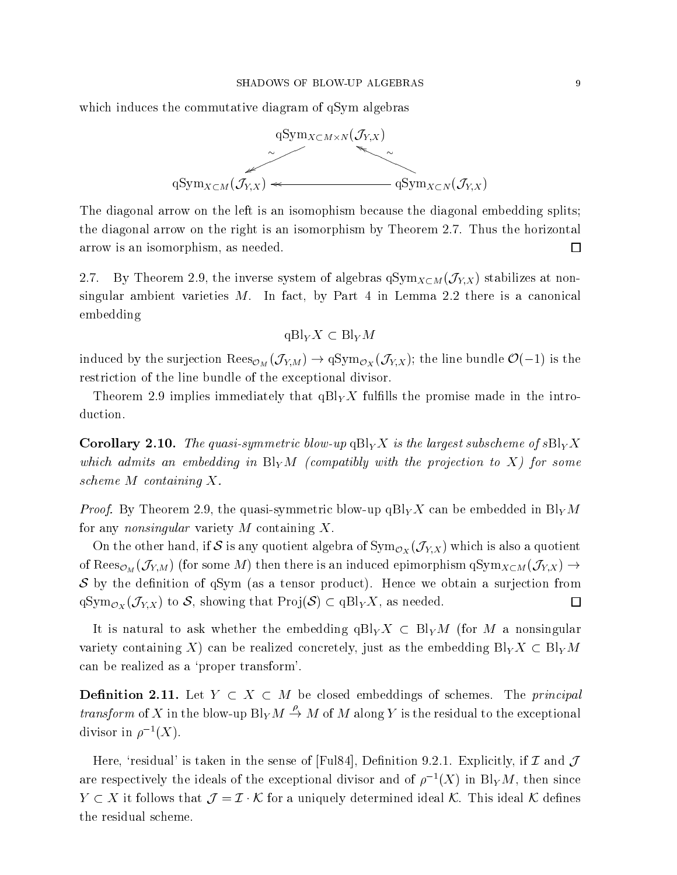which induces the commutative diagram of qSym algebras



The diagonal arrow on the left is an isomophism because the diagonal embedding splits; the diagonal arrow on the right is an isomorphism by Theorem 2.7. Thus the horizontal arrow is an isomorphism, as needed. □

2.7. By Theorem 2.9, the inverse system of algebras  $qSym_{X\subset M}(\mathcal{J}_{Y,X})$  stabilizes at nonsingular ambient varieties  $M$ . In fact, by Part 4 in Lemma 2.2 there is a canonical embedding

$$
qBl_Y X \subset Bl_Y M
$$

induced by the surjection  $\text{Res}_{\mathcal{O}_M}(\mathcal{J}_{Y,M}) \to \text{qSym}_{\mathcal{O}_X}(\mathcal{J}_{Y,X})$ ; the line bundle  $\mathcal{O}(-1)$  is the restriction of the line bundle of the exceptional divisor.

Theorem 2.9 implies immediately that  $qB\rightarrow Y$  fulfills the promise made in the introduction.

**Corollary 2.10.** The quasi-symmetric blow-up  $qBlyX$  is the largest subscheme of  $sBl_YY$ which admits an embedding in  $\text{Bl}_Y M$  (compatibly with the projection to X) for some scheme M containing X.

*Proof.* By Theorem 2.9, the quasi-symmetric blow-up  $qB\vert_{Y}X$  can be embedded in  $Bl_{Y}M$ for any nonsingular variety  $M$  containing  $X$ .

On the other hand, if S is any quotient algebra of  $\text{Sym}_{\mathcal{O}_X}(\mathcal{J}_{Y,X})$  which is also a quotient of Rees<sub>OM</sub>  $(\mathcal{J}_{Y,M})$  (for some M) then there is an induced epimorphism  $qSym_{X\subset M}(\mathcal{J}_{Y,X}) \to$  $S$  by the definition of qSym (as a tensor product). Hence we obtain a surjection from  $qSym_{\mathcal{O}_X}(\mathcal{J}_{Y,X})$  to  $\mathcal{S}$ , showing that  $Proj(\mathcal{S}) \subset qBl_Y X$ , as needed.  $\Box$ 

It is natural to ask whether the embedding  $qB\vert_Y X \subset B\vert_Y M$  (for M a nonsingular variety containing X) can be realized concretely, just as the embedding  $Bl_Y X \subset Bl_Y M$ can be realized as a 'proper transform'.

**Definition 2.11.** Let  $Y \subset X \subset M$  be closed embeddings of schemes. The *principal* transform of X in the blow-up  $Bl_{Y}M \stackrel{\rho}{\rightarrow} M$  of M along Y is the residual to the exceptional divisor in  $\rho^{-1}(X)$ .

Here, 'residual' is taken in the sense of [Ful84], Definition 9.2.1. Explicitly, if  $\mathcal I$  and  $\mathcal J$ are respectively the ideals of the exceptional divisor and of  $\rho^{-1}(X)$  in Bl<sub>Y</sub>M, then since  $Y \subset X$  it follows that  $\mathcal{J} = \mathcal{I} \cdot \mathcal{K}$  for a uniquely determined ideal K. This ideal K defines the residual scheme.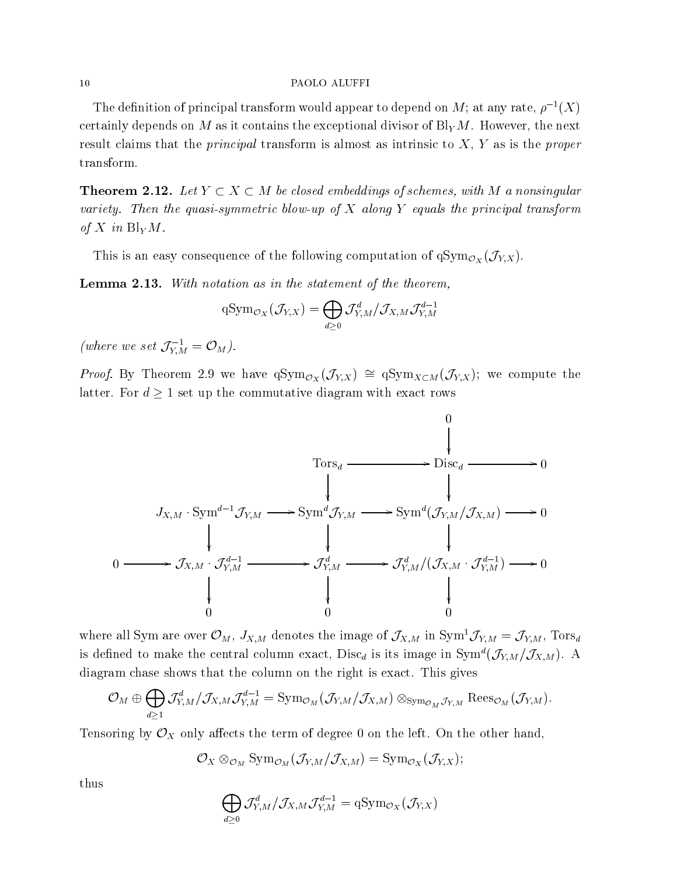The definition of principal transform would appear to depend on M; at any rate,  $\rho^{-1}(X)$ certainly depends on M as it contains the exceptional divisor of  $\mathrm{Bl}_Y M$ . However, the next result claims that the *principal* transform is almost as intrinsic to  $X, Y$  as is the *proper* transform.

**Theorem 2.12.** Let  $Y \subset X \subset M$  be closed embeddings of schemes, with M a nonsingular variety. Then the quasi-symmetric blow-up of X along Y equals the principal transform of X in  $\mathrm{Bl}_Y M$ .

This is an easy consequence of the following computation of  $qSym_{\mathcal{O}_X}(\mathcal{J}_{Y,X}).$ 

Lemma 2.13. With notation as in the statement of the theorem,

$$
\mathrm{qSym}_{\mathcal{O}_{X}}(\mathcal{J}_{Y,X})=\bigoplus_{d\geq 0}\mathcal{J}^d_{Y,M}/\mathcal{J}_{X,M}\mathcal{J}^{d-1}_{Y,M}
$$

(where we set  $J_{Y,M} = \mathcal{O}_M$ ).

*Proof.* By Theorem 2.9 we have  $qSym_{\mathcal{O}_X}(\mathcal{J}_{Y,X}) \cong qSym_{X\subset M}(\mathcal{J}_{Y,X})$ ; we compute the latter. For  $d \geq 1$  set up the commutative diagram with exact rows



where all Sym are over  $\mathcal{O}_M$ ,  $J_{X,M}$  denotes the image of  $\mathcal{J}_{X,M}$  in  $\text{Sym}^1 \mathcal{J}_{Y,M} = \mathcal{J}_{Y,M}$ , Tors<sub>d</sub> is defined to make the central column exact, Disc<sub>d</sub> is its image in  $\text{Sym}^d(\mathcal{J}_{Y,M}/\mathcal{J}_{X,M})$ . A diagram chase shows that the column on the right is exact. This gives

$$
\mathcal{O}_M \oplus \bigoplus_{d \geq 1} \mathcal{J}_{Y,M}^d / \mathcal{J}_{X,M} \mathcal{J}_{Y,M}^{d-1} = \text{Sym}_{\mathcal{O}_M} (\mathcal{J}_{Y,M} / \mathcal{J}_{X,M}) \otimes_{\text{Sym}_{\mathcal{O}_M} \mathcal{J}_{Y,M}} \text{Rees}_{\mathcal{O}_M} (\mathcal{J}_{Y,M}).
$$

Tensoring by  $\mathcal{O}_X$  only affects the term of degree 0 on the left. On the other hand,

$$
\mathcal{O}_X\otimes_{\mathcal{O}_M}\mathrm{Sym}_{\mathcal{O}_M}(\mathcal{J}_{Y,M}/\mathcal{J}_{X,M})=\mathrm{Sym}_{\mathcal{O}_X}(\mathcal{J}_{Y,X});
$$

thus

$$
\bigoplus_{d\geq 0}\mathcal{J}^d_{Y,M}/\mathcal{J}_{X,M}\mathcal{J}^{d-1}_{Y,M}={\rm qSym}_{\mathcal{O}_X}(\mathcal{J}_{Y,X})
$$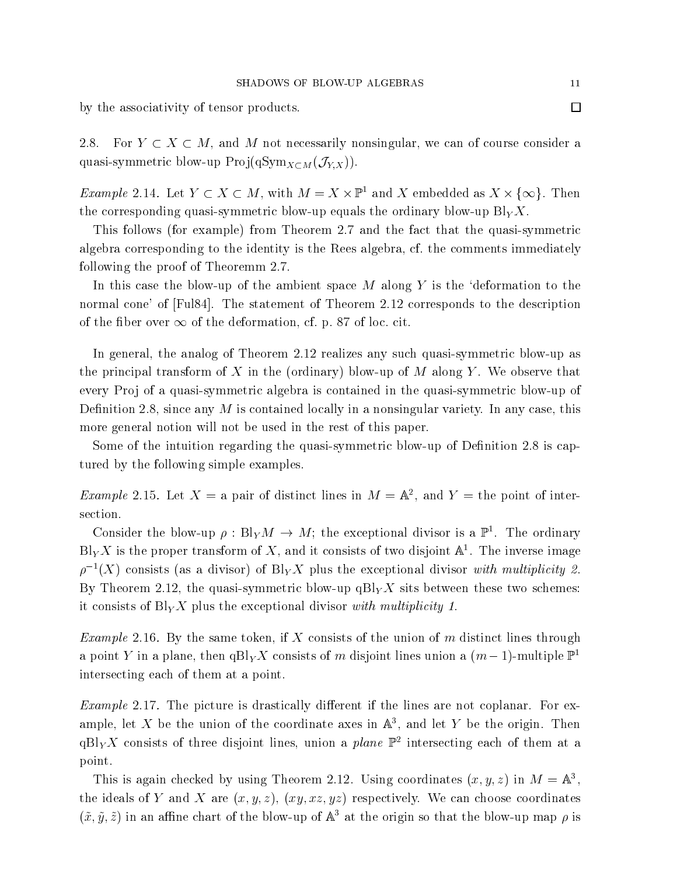by the associativity of tensor products.

2.8. For  $Y \subset X \subset M$ , and M not necessarily nonsingular, we can of course consider a quasi-symmetric blow-up  $\text{Proj}(q\text{Sym}_{X \subset M}(\mathcal{J}_{Y, X})).$ 

*Example 2.14.* Let  $Y \subset X \subset M$ , with  $M = X \times \mathbb{P}^2$  and  $X$  embedded as  $X \times \{\infty\}$ . Then the corresponding quasi-symmetric blow-up equals the ordinary blow-up  $Bl_Y X$ .

This follows (for example) from Theorem 2.7 and the fact that the quasi-symmetric algebra corresponding to the identity is the Rees algebra, cf. the comments immediately following the proof of Theoremm 2.7.

In this case the blow-up of the ambient space  $M$  along  $Y$  is the 'deformation to the normal cone' of [Ful84]. The statement of Theorem 2.12 corresponds to the description of the fiber over  $\infty$  of the deformation, cf. p. 87 of loc. cit.

In general, the analog of Theorem 2.12 realizes any such quasi-symmetric blow-up as the principal transform of X in the (ordinary) blow-up of M along Y. We observe that every Proj of a quasi-symmetric algebra is contained in the quasi-symmetric blow-up of Definition 2.8, since any  $M$  is contained locally in a nonsingular variety. In any case, this more general notion will not be used in the rest of this paper.

Some of the intuition regarding the quasi-symmetric blow-up of Definition 2.8 is captured by the following simple examples.

*Example 2.*15. Let  $\Lambda =$  a pair of distinct lines in  $M = \mathbb{A}^2$ , and  $Y =$  the point of intersection.

Consider the blow-up  $\rho : \operatorname{Bl}_Y M \to M;$  the exceptional divisor is a  $\mathbb{P}^*.$  The ordinary  $\rm\,b_{IyA}$  is the proper transform of  $\rm A$  , and it consists of two disjoint  $\rm A^-.$  The inverse image  $\rho^{-1}(X)$  consists (as a divisor) of Bl<sub>Y</sub>X plus the exceptional divisor with multiplicity 2. By Theorem 2.12, the quasi-symmetric blow-up  $qBl_Y X$  sits between these two schemes: it consists of  $\mathrm{Bl}_Y X$  plus the exceptional divisor with multiplicity 1.

*Example* 2.16. By the same token, if X consists of the union of m distinct lines through a point Y in a plane, then  $qBl_YX$  consists of m disjoint lines union a  $(m-1)$ -multiple  $\mathbb{P}^1$ intersecting each of them at a point.

*Example* 2.17. The picture is drastically different if the lines are not coplanar. For example, let  $\Lambda$  be the union of the coordinate axes in  $\mathbb{A}^*$ , and let  $Y$  be the origin. Then  $\mathop{\rm qBiy}\nolimits X$  consists of three disjoint lines, union a *plane*  $\mathbb{P}^\ast$  intersecting each of them at a point.

This is again checked by using Theorem 2.12. Using coordinates  $(x, y, z)$  in  $M = A<sup>o</sup>$ , the ideals of Y and X are  $(x, y, z)$ ,  $(xy, xz, yz)$  respectively. We can choose coordinates  $(x, y, z)$  in an amne chart of the blow-up of  $A^s$  at the origin so that the blow-up map  $\rho$  is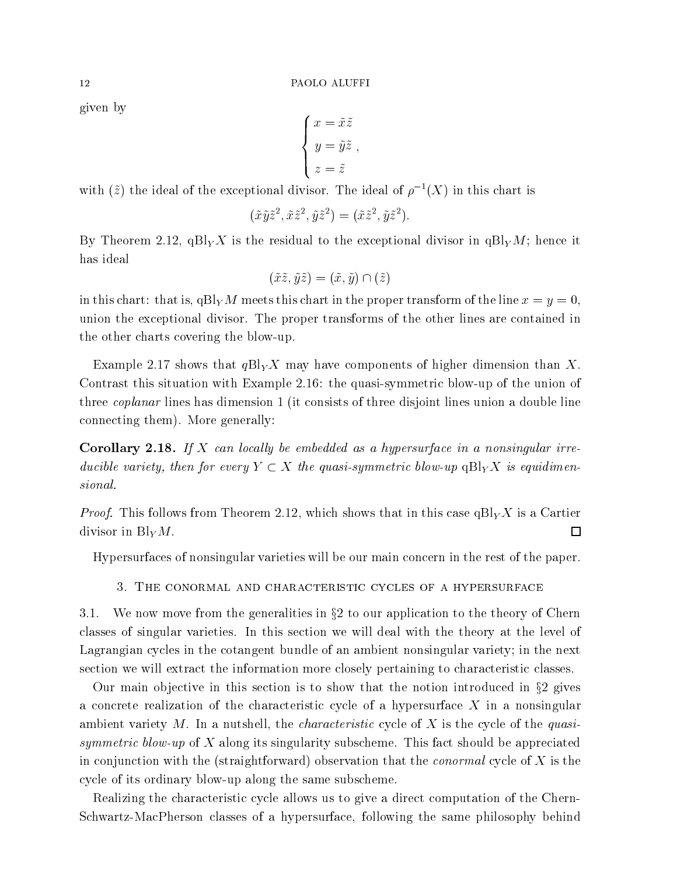given by

$$
\begin{cases}\nx = \tilde{x}\tilde{z} \\
y = \tilde{y}\tilde{z} \\
z = \tilde{z}\n\end{cases}
$$

with  $(\tilde{z})$  the ideal of the exceptional divisor. The ideal of  $\rho^{-1}(X)$  in this chart is

$$
(\tilde{x}\tilde{y}\tilde{z}^2, \tilde{x}\tilde{z}^2, \tilde{y}\tilde{z}^2) = (\tilde{x}\tilde{z}^2, \tilde{y}\tilde{z}^2).
$$

By Theorem 2.12,  $qB\vert_Y X$  is the residual to the exceptional divisor in  $qB\vert_Y M$ ; hence it has ideal

$$
(\tilde{x}\tilde{z}, \tilde{y}\tilde{z}) = (\tilde{x}, \tilde{y}) \cap (\tilde{z})
$$

in this chart: that is,  $qBlyM$  meets this chart in the proper transform of the line  $x = y = 0$ . union the exceptional divisor. The proper transforms of the other lines are contained in the other charts covering the blow-up.

Example 2.17 shows that  $qB\vert_Y X$  may have components of higher dimension than X. Contrast this situation with Example 2.16: the quasi-symmetric blow-up of the union of three coplanar lines has dimension 1 (it consists of three disjoint lines union a double line connecting them). More generally:

**Corollary 2.18.** If X can locally be embedded as a hypersurface in a nonsingular irreducible variety, then for every  $Y \subset X$  the quasi-symmetric blow-up  $qB\vert_Y X$  is equidimensional.

*Proof.* This follows from Theorem 2.12, which shows that in this case  $qBl_YX$  is a Cartier  $\Box$ divisor in  $Bl<sub>Y</sub>M$ .

Hypersurfaces of nonsingular varieties will be our main concern in the rest of the paper.

3. The conormal and characteristic cycles of <sup>a</sup> hypersurface

3.1. We now move from the generalities in  $\S 2$  to our application to the theory of Chern classes of singular varieties. In this section we will deal with the theory at the level of Lagrangian cycles in the cotangent bundle of an ambient nonsingular variety; in the next section we will extract the information more closely pertaining to characteristic classes.

Our main objective in this section is to show that the notion introduced in  $\S 2$  gives a concrete realization of the characteristic cycle of a hypersurface  $X$  in a nonsingular ambient variety M. In a nutshell, the *characteristic* cycle of X is the cycle of the *quasi*symmetric blow-up of  $X$  along its singularity subscheme. This fact should be appreciated in conjunction with the (straightforward) observation that the *conormal* cycle of X is the cycle of its ordinary blow-up along the same subscheme.

Realizing the characteristic cycle allows us to give a direct computation of the Chern-Schwartz-MacPherson classes of a hypersurface, following the same philosophy behind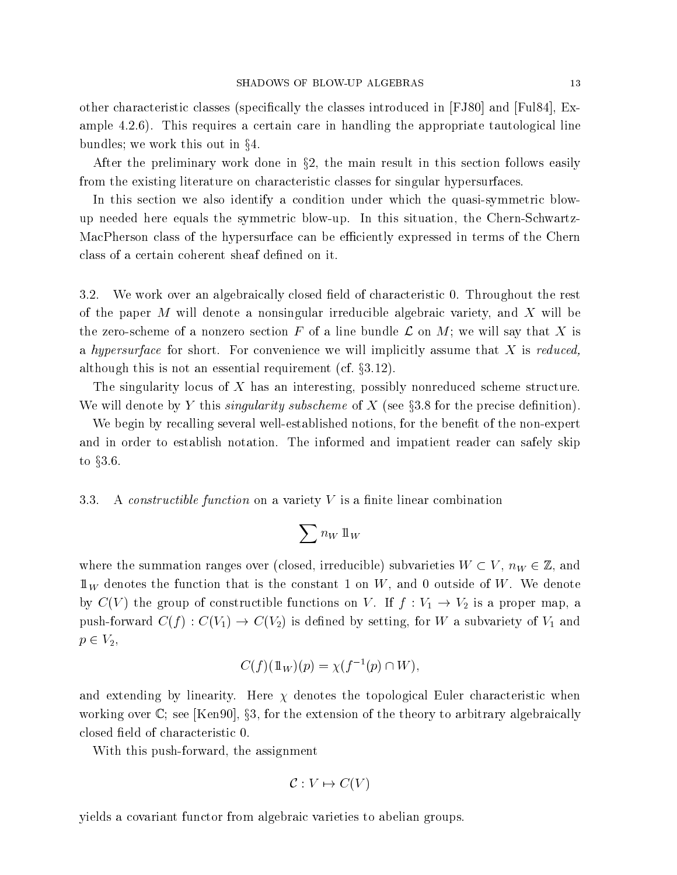other characteristic classes (specifically the classes introduced in [FJ80] and [Ful84], Example 4.2.6). This requires a certain care in handling the appropriate tautological line bundles; we work this out in  $\S 4$ .

After the preliminary work done in  $\S2$ , the main result in this section follows easily from the existing literature on characteristic classes for singular hypersurfaces.

In this section we also identify a condition under which the quasi-symmetric blowup needed here equals the symmetric blow-up. In this situation, the Chern-Schwartz-MacPherson class of the hypersurface can be efficiently expressed in terms of the Chern class of a certain coherent sheaf defined on it.

3.2. We work over an algebraically closed field of characteristic 0. Throughout the rest of the paper M will denote a nonsingular irreducible algebraic variety, and X will be the zero-scheme of a nonzero section F of a line bundle  $\mathcal L$  on M; we will say that X is a hypersurface for short. For convenience we will implicitly assume that  $X$  is reduced, although this is not an essential requirement (cf.  $\S 3.12$ ).

The singularity locus of X has an interesting, possibly nonreduced scheme structure. We will denote by Y this *singularity subscheme* of X (see  $\S 3.8$  for the precise definition).

We begin by recalling several well-established notions, for the benefit of the non-expert and in order to establish notation. The informed and impatient reader can safely skip to  $\S 3.6$ .

## 3.3. A constructible function on a variety  $V$  is a finite linear combination

$$
\sum n_W~1\!\!1_W
$$

where the summation ranges over (closed, irreducible) subvarieties  $W \subset V$ ,  $n_W \in \mathbb{Z}$ , and  $\mathbb{1}_W$  denotes the function that is the constant 1 on W, and 0 outside of W. We denote by C(V) is group of constructions on  $\mathbb{R}^n$  . If  $\mathbb{R}^n$  ,  $\mathbb{R}^n$  is a proper map of  $\mathbb{R}^n$  is a proper map, and pushed for  $\alpha$  ,  $\alpha$  ,  $\alpha$  ,  $\alpha$  ,  $\alpha$  ,  $\alpha$  is defined by setting, for  $\alpha$  and  $\alpha$  and  $\alpha$  and  $\alpha$  $p \in V_2$ ,

$$
C(f)(1\mathbf{1}_W)(p) = \chi(f^{-1}(p) \cap W),
$$

and extending by linearity. Here  $\chi$  denotes the topological Euler characteristic when working over  $\mathbb{C}$ ; see [Ken90], §3, for the extension of the theory to arbitrary algebraically closed field of characteristic  $\theta$ .

With this push-forward, the assignment

$$
\mathcal{C}: V \mapsto C(V)
$$

yields a covariant functor from algebraic varieties to abelian groups.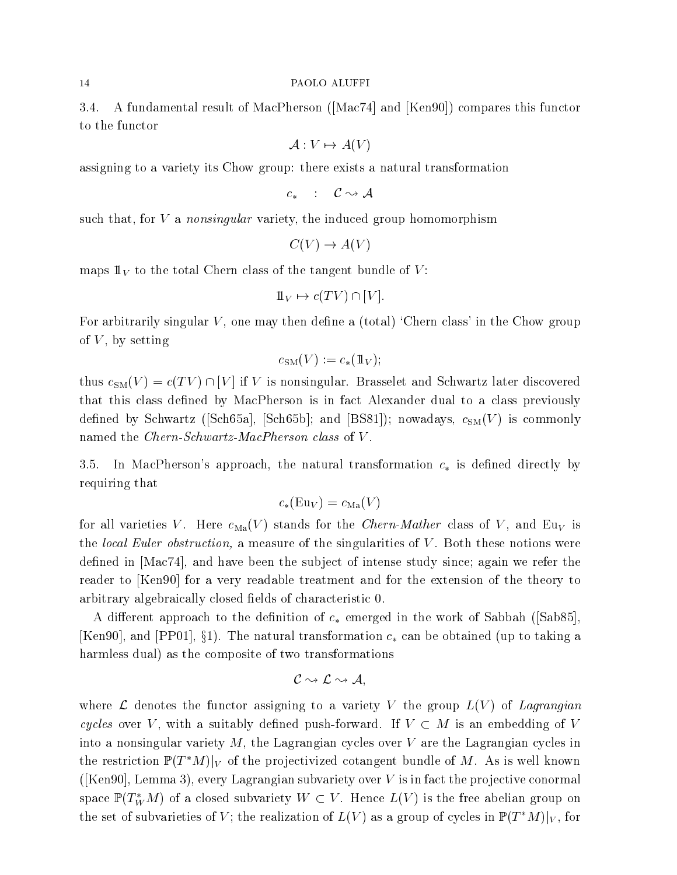3.4. A fundamental result of MacPherson ([Mac74] and [Ken90]) compares this functor to the functor

$$
\mathcal{A}: V \mapsto A(V)
$$

assigning to a variety its Chow group: there exists a natural transformation

$$
c_* \quad : \quad \mathcal{C} \leadsto \mathcal{A}
$$

such that, for  $V$  a *nonsingular* variety, the induced group homomorphism

$$
C(V) \to A(V)
$$

maps  $1\mathbb{I}_V$  to the total Chern class of the tangent bundle of V:

$$
1\!\!1_V \mapsto c(TV) \cap [V].
$$

For arbitrarily singular  $V$ , one may then define a (total) 'Chern class' in the Chow group of  $V$ , by setting

$$
c_{\mathrm{SM}}(V):=c_*(1\hskip-3.5pt1_V);
$$

thus  $c_{\text{SM}}(V) = c(TV) \cap [V]$  if V is nonsingular. Brasselet and Schwartz later discovered that this class defined by MacPherson is in fact Alexander dual to a class previously defined by Schwartz ([Sch65a], [Sch65b]; and [BS81]); nowadays,  $c_{SM}(V)$  is commonly named the Chern-Schwartz-MacPherson class of V .

3.5. In MacPherson's approach, the natural transformation  $c_*$  is defined directly by requiring that

$$
c_* (Eu_V) = c_{Ma}(V)
$$

for all varieties V. Here  $c_{\text{Ma}}(V)$  stands for the *Chern-Mather* class of V, and Eu<sub>V</sub> is the *local Euler obstruction*, a measure of the singularities of  $V$ . Both these notions were defined in  $[\text{Mac74}]$ , and have been the subject of intense study since; again we refer the reader to [Ken90] for a very readable treatment and for the extension of the theory to arbitrary algebraically closed fields of characteristic 0.

A different approach to the definition of  $c_*$  emerged in the work of Sabbah ([Sab85], [Ken90], and [PP01], §1). The natural transformation  $c_*$  can be obtained (up to taking a harmless dual) as the composite of two transformations

$$
\mathcal{C} \rightsquigarrow \mathcal{L} \rightsquigarrow \mathcal{A},
$$

where  $\mathcal L$  denotes the functor assigning to a variety V the group  $L(V)$  of Lagrangian cycles over V, with a suitably defined push-forward. If  $V \subset M$  is an embedding of V into a nonsingular variety  $M$ , the Lagrangian cycles over V are the Lagrangian cycles in the restriction  $\mathbb{P}(T^*M)|_V$  of the projectivized cotangent bundle of M. As is well known ([Ken90], Lemma 3), every Lagrangian subvariety over V is in fact the projective conormal space  $\mathbb{P}(T^*_WM)$  of a closed subvariety  $W \subset V$ . Hence  $L(V)$  is the free abelian group on the set of subvarieties of V; the realization of  $L(V)$  as a group of cycles in  $\mathbb{P}(T^*M)|_V$ , for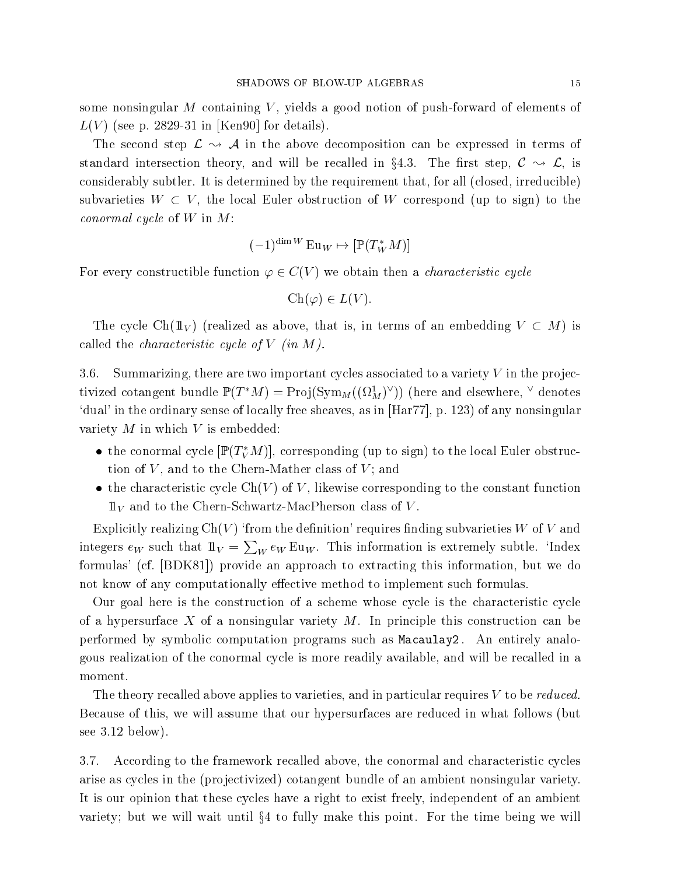some nonsingular M containing  $V$ , yields a good notion of push-forward of elements of  $L(V)$  (see p. 2829-31 in [Ken90] for details).

The second step  $\mathcal{L} \rightsquigarrow \mathcal{A}$  in the above decomposition can be expressed in terms of standard intersection theory, and will be recalled in §4.3. The first step,  $\mathcal{C} \sim \mathcal{L}$ , is considerably subtler. It is determined by the requirement that, for all (closed, irreducible) subvarieties  $W \subset V$ , the local Euler obstruction of W correspond (up to sign) to the *conormal cycle* of  $W$  in  $M$ :

$$
(-1)^{\dim W} \operatorname{Eu}_W \mapsto [\mathbb{P}(T^*_W M)]
$$

For every constructible function  $\varphi \in C(V)$  we obtain then a *characteristic cycle* 

$$
Ch(\varphi) \in L(V).
$$

The cycle Ch( $1\mathbb{1}_V$ ) (realized as above, that is, in terms of an embedding  $V \subset M$ ) is called the *characteristic cycle of*  $V$  (in  $M$ ).

3.6. Summarizing, there are two important cycles associated to a variety  $V$  in the projectivized cotangent bundle  $\mathbb{P}(T | M) = \text{Proj}(\text{Sym}_M((\Omega_M^T)^{\perp}))$  (here and elsewhere, a denotes `dual' in the ordinary sense of locally free sheaves, as in [Har77], p. 123) of any nonsingular variety  $M$  in which  $V$  is embedded:

- the conormal cycle  $[\mathbb{P}(T^*_{V}M)]$ , corresponding (up to sign) to the local Euler obstruction of  $V$ , and to the Chern-Mather class of  $V$ ; and
- the characteristic cycle  $Ch(V)$  of V, likewise corresponding to the constant function  $1\!\!1_V$  and to the Chern-Schwartz-MacPherson class of V.

Explicitly realizing  $Ch(V)$  from the definition' requires finding subvarieties W of V and integers  $e_W$  such that  $1\!\!1_V = \sum_W e_W \, \text{Eu}_W$ . This information is extremely subtle. 'Index formulas' (cf. [BDK81]) provide an approach to extracting this information, but we do not know of any computationally effective method to implement such formulas.

Our goal here is the construction of a scheme whose cycle is the characteristic cycle of a hypersurface X of a nonsingular variety  $M$ . In principle this construction can be performed by symbolic computation programs such as Macaulay2. An entirely analogous realization of the conormal cycle is more readily available, and will be recalled in a moment.

The theory recalled above applies to varieties, and in particular requires  $V$  to be *reduced*. Because of this, we will assume that our hypersurfaces are reduced in what follows (but see 3.12 below).

3.7. According to the framework recalled above, the conormal and characteristic cycles arise as cycles in the (projectivized) cotangent bundle of an ambient nonsingular variety. It is our opinion that these cycles have a right to exist freely, independent of an ambient variety; but we will wait until  $\S 4$  to fully make this point. For the time being we will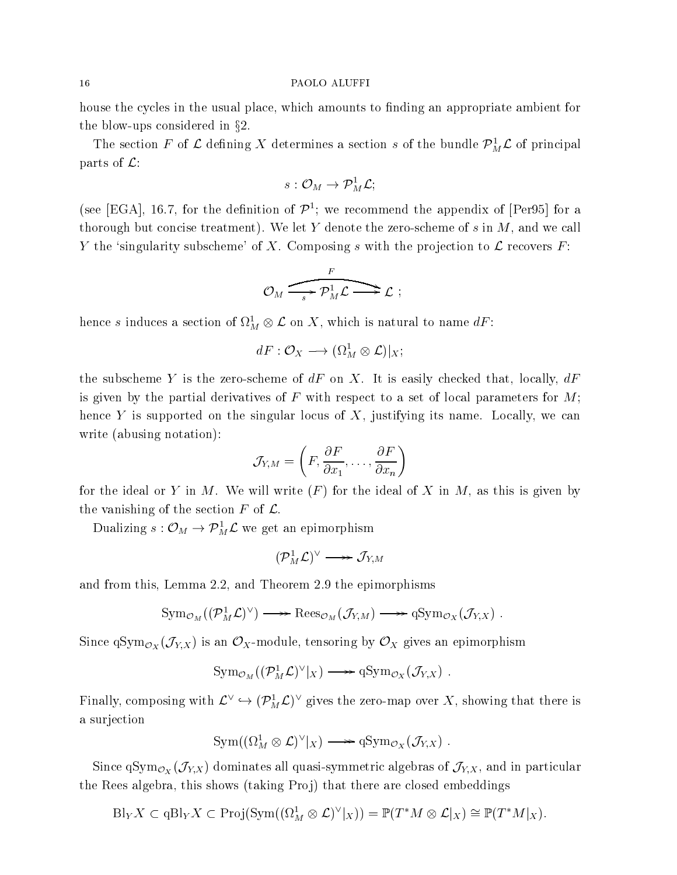house the cycles in the usual place, which amounts to finding an appropriate ambient for the blow-ups considered in  $\S 2$ .

The section F of L defining A determines a section s of the bundle  $P_M^*L$  of principal parts of  $\mathcal{L}$ :

$$
s:{\mathcal O}_M\to {\mathcal P}_M^1{\mathcal L};
$$

(see [EGA], 10.7, for the definition of  $P^*$ ; we recommend the appendix of [Per95] for a thorough but concise treatment). We let Y denote the zero-scheme of s in  $M$ , and we call Y the 'singularity subscheme' of X. Composing s with the projection to  $\mathcal L$  recovers F:

$$
\mathcal{O}_M \xrightarrow{\qquad F} \mathcal{P}_M^1 \mathcal{L} \longrightarrow \mathcal{L} ;
$$

hence s induces a section of  $M_M \otimes L$  on  $\Lambda$ , which is natural to name  $dr$ :

$$
dF: \mathcal{O}_X \longrightarrow (\Omega^1_M \otimes \mathcal{L})|_X;
$$

the subscheme Y is the zero-scheme of  $dF$  on X. It is easily checked that, locally,  $dF$ is given by the partial derivatives of F with respect to a set of local parameters for  $M$ ; hence Y is supported on the singular locus of  $X$ , justifying its name. Locally, we can write (abusing notation):

$$
\mathcal{J}_{Y\!,M}=\left(F,\frac{\partial F}{\partial x_1},\ldots,\frac{\partial F}{\partial x_n}\right)
$$

for the ideal or Y in M. We will write  $(F)$  for the ideal of X in M, as this is given by the vanishing of the section  $F$  of  $\mathcal{L}$ .

Dualizing  $s: \mathcal{O}_M \to \mathcal{P}_M^+ \mathcal{L}$  we get an epimorphism

$$
(\mathcal{P}^1_M\mathcal{L})^\vee \longrightarrow\!\!\!\!\!\rightarrow \mathcal{J}_{Y,M}
$$

and from this, Lemma 2.2, and Theorem 2.9 the epimorphisms

$$
\mathrm{Sym}_{\mathcal{O}_M}((\mathcal{P}_M^1 \mathcal{L})^{\vee}) \longrightarrow \mathrm{Rees}_{\mathcal{O}_M}(\mathcal{J}_{Y,M}) \longrightarrow \mathrm{qSym}_{\mathcal{O}_X}(\mathcal{J}_{Y,X}).
$$

Since  $qSym_{\mathcal{O}_X}(\mathcal{J}_{Y,X})$  is an  $\mathcal{O}_X$ -module, tensoring by  $\mathcal{O}_X$  gives an epimorphism

$$
\mathrm{Sym}_{\mathcal{O}_M}((\mathcal{P}_M^1 \mathcal{L})^{\vee}|_X) \longrightarrow \mathrm{qSym}_{\mathcal{O}_X}(\mathcal{J}_{Y,X}).
$$

Finally, composing with  $L^+ \hookrightarrow (P_M^+L)^+$  gives the zero-map over  $\Lambda$ , showing that there is a surjection

$$
\mathrm{Sym}((\Omega^1_M \otimes \mathcal{L})^{\vee}|_X) \longrightarrow \mathrm{qSym}_{\mathcal{O}_X}(\mathcal{J}_{Y,X}).
$$

Since qSym<sub> $\mathcal{O}_X(\mathcal{J}_{Y,X})$  dominates all quasi-symmetric algebras of  $\mathcal{J}_{Y,X}$ , and in particular</sub> the Rees algebra, this shows (taking Proj) that there are closed embeddings

$$
\mathrm{Bl}_Y X \subset \mathrm{qBl}_Y X \subset \mathrm{Proj}(\mathrm{Sym}(( \Omega^1_M \otimes \mathcal{L})^\vee|_X)) = \mathbb{P}(T^*M \otimes \mathcal{L}|_X) \cong \mathbb{P}(T^*M|_X).
$$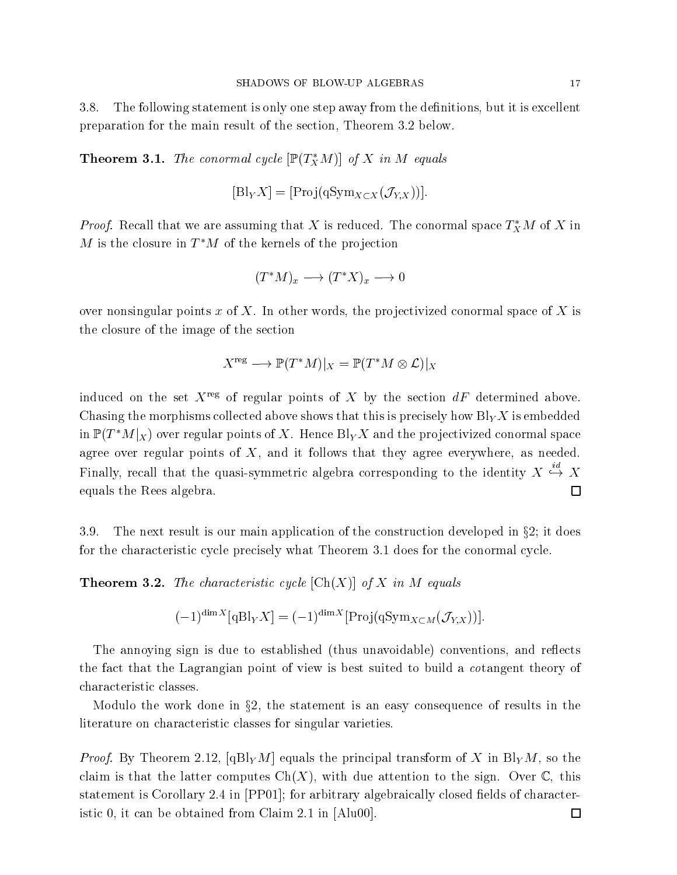3.8. The following statement is only one step away from the definitions, but it is excellent preparation for the main result of the section, Theorem 3.2 below.

**Theorem 3.1.** The conormal cycle  $[\mathbb{P}(T^*_X M)]$  of X in M equals

$$
[\text{Bl}_Y X] = [\text{Proj}(q\text{Sym}_{X \subset X}(\mathcal{J}_{Y,X}))].
$$

*Proof.* Recall that we are assuming that X is reduced. The conormal space  $T_X^*M$  of X in M is the closure in  $T^*M$  of the kernels of the projection

$$
(T^*M)_x \longrightarrow (T^*X)_x \longrightarrow 0
$$

over nonsingular points x of X. In other words, the projectivized conormal space of X is the closure of the image of the section

$$
X^{\text{reg}} \longrightarrow \mathbb{P}(T^*M)|_X = \mathbb{P}(T^*M \otimes \mathcal{L})|_X
$$

induced on the set  $X^{\text{reg}}$  of regular points of X by the section dF determined above. Chasing the morphisms collected above shows that this is precisely how  $\mathrm{Bl}_Y X$  is embedded in  $\mathbb{P}(T^*M|_X)$  over regular points of X. Hence  $\text{Bl}_Y X$  and the projectivized conormal space agree over regular points of  $X$ , and it follows that they agree everywhere, as needed. Finally, recall that the quasi-symmetric algebra corresponding to the identity  $X \nightharpoonup X$ equals the Rees algebra.  $\Box$ 

3.9. The next result is our main application of the construction developed in  $\S 2$ ; it does for the characteristic cycle precisely what Theorem 3.1 does for the conormal cycle.

**Theorem 3.2.** The characteristic cycle  $[Ch(X)]$  of X in M equals

$$
(-1)^{\dim X}[\mathrm{qBl}_Y X] = (-1)^{\dim X}[\mathrm{Proj}(\mathrm{qSym}_{X \subset M}(\mathcal{J}_{Y,X}))].
$$

The annoying sign is due to established (thus unavoidable) conventions, and reflects the fact that the Lagrangian point of view is best suited to build a cotangent theory of characteristic classes.

Modulo the work done in  $\S$ 2, the statement is an easy consequence of results in the literature on characteristic classes for singular varieties.

*Proof.* By Theorem 2.12,  $[qBl<sub>Y</sub>M]$  equals the principal transform of X in Bl<sub>Y</sub>M, so the claim is that the latter computes  $Ch(X)$ , with due attention to the sign. Over  $\mathbb C$ , this statement is Corollary 2.4 in  $[PP01]$ ; for arbitrary algebraically closed fields of characteristic 0, it can be obtained from Claim 2.1 in [Alu00].□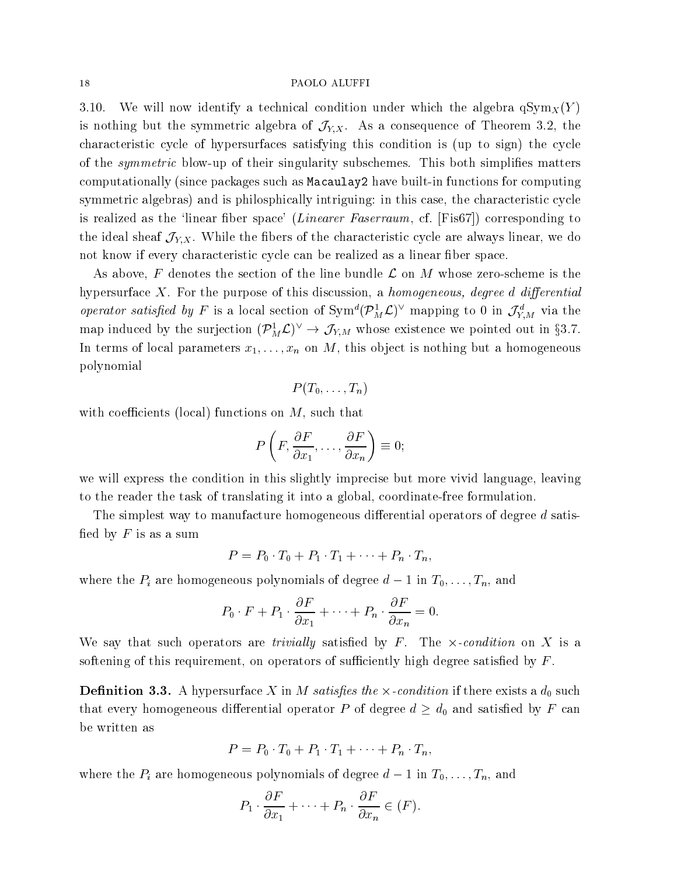3.10. We will now identify a technical condition under which the algebra  $qSym_X(Y)$ is nothing but the symmetric algebra of  $\mathcal{J}_{Y,X}$ . As a consequence of Theorem 3.2, the characteristic cycle of hypersurfaces satisfying this condition is (up to sign) the cycle of the *symmetric* blow-up of their singularity subschemes. This both simplifies matters computationally (since packages such as Macaulay2 have built-in functions for computing symmetric algebras) and is philosphically intriguing: in this case, the characteristic cycle is realized as the 'linear fiber space' (*Linearer Faserraum*, cf.  $[Fix 67]$ ) corresponding to the ideal sheaf  $\mathcal{J}_{Y,X}$ . While the fibers of the characteristic cycle are always linear, we do not know if every characteristic cycle can be realized as a linear fiber space.

As above, F denotes the section of the line bundle  $\mathcal L$  on M whose zero-scheme is the hypersurface X. For the purpose of this discussion, a *homogeneous, degree d differential operator satisfied by F* is a local section of  $\text{Sym}^{\sim}(\mathcal{P}_{M}^{\gamma}\mathcal{L})$  mapping to 0 in  $\mathcal{J}_{Y,M}^{\gamma}$  via the map induced by the surjection  $(\mathcal{P}_{M}^{\ast}\mathcal{L})^{\ast}\to \mathcal{J}_{Y,M}$  whose existence we pointed out in §3.7. In terms of local parameters  $x_1,\ldots,x_n$  on M, this object is nothing but a homogeneous polynomial

$$
P(T_0,\ldots,T_n)
$$

with coefficients (local) functions on  $M$ , such that

$$
P\left(F, \frac{\partial F}{\partial x_1}, \dots, \frac{\partial F}{\partial x_n}\right) \equiv 0;
$$

we will express the condition in this slightly imprecise but more vivid language, leaving to the reader the task of translating it into a global, coordinate-free formulation.

The simplest way to manufacture homogeneous differential operators of degree  $d$  satisfied by  $F$  is as a sum

$$
P = P_0 \cdot T_0 + P_1 \cdot T_1 + \cdots + P_n \cdot T_n,
$$

where the  $P_i$  are homogeneous polynomials of degree  $d-1$  in  $T_0,\ldots,T_n$ , and

$$
P_0 \cdot F + P_1 \cdot \frac{\partial F}{\partial x_1} + \cdots + P_n \cdot \frac{\partial F}{\partial x_n} = 0.
$$

We say that such operators are trivial ly satisfactors are trivial ly satisfactors are the -condition on  $M$  is a satisfactor on  $M$  . softening of this requirement, on operators of sufficiently high degree satisfied by  $F$ .

 $\mathcal{A}$  is a surface  $\mathcal{A}$  in M satisface  $\mathcal{A}$  in M satisface  $\mathcal{A}$ that every free differential operator distribution  $\mathbb{P}$  of degree differential  $\mathbb{P}$  and satisfies  $\mathbb{P}$  and  $\mathbb{P}$ be written as

$$
P = P_0 \cdot T_0 + P_1 \cdot T_1 + \cdots + P_n \cdot T_n,
$$

where the  $P_i$  are homogeneous polynomials of degree  $d-1$  in  $T_0,\ldots,T_n$ , and

$$
P_1 \cdot \frac{\partial F}{\partial x_1} + \dots + P_n \cdot \frac{\partial F}{\partial x_n} \in (F).
$$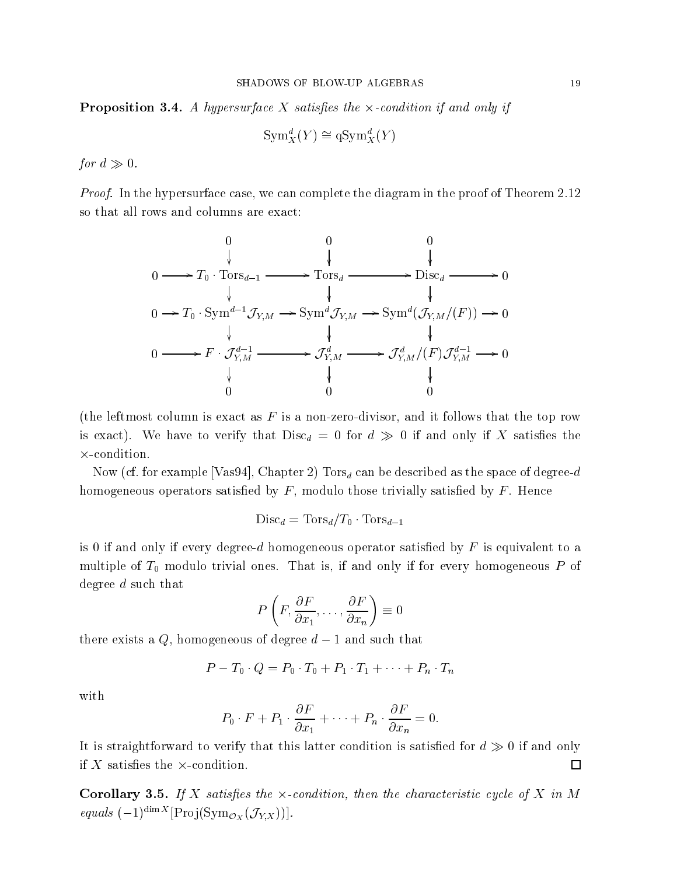Proposition 3.4. A hypersurface X satises the --condition if and only if

$$
\operatorname{Sym}_X^d(Y) \cong \operatorname{qSym}_X^d(Y)
$$

for  $d \gg 0$ .

*Proof.* In the hypersurface case, we can complete the diagram in the proof of Theorem 2.12 so that all rows and columns are exact:

$$
0 \longrightarrow T_0 \cdot \text{Tors}_{d-1} \longrightarrow \text{Tors}_d \longrightarrow \text{Disc}_d \longrightarrow 0
$$
  
\n
$$
0 \longrightarrow T_0 \cdot \text{Sym}^{d-1} \mathcal{J}_{Y,M} \longrightarrow \text{Sym}^d \mathcal{J}_{Y,M} \longrightarrow \text{Sym}^d (\mathcal{J}_{Y,M}/(F)) \longrightarrow 0
$$
  
\n
$$
0 \longrightarrow F \cdot \mathcal{J}_{Y,M}^{d-1} \longrightarrow \mathcal{J}_{Y,M}^d \longrightarrow \mathcal{J}_{Y,M}^d/(F) \mathcal{J}_{Y,M}^{d-1} \longrightarrow 0
$$
  
\n
$$
\downarrow
$$
  
\n
$$
\downarrow
$$
  
\n
$$
\downarrow
$$
  
\n
$$
\downarrow
$$
  
\n
$$
\downarrow
$$
  
\n
$$
\downarrow
$$
  
\n
$$
\downarrow
$$
  
\n
$$
\downarrow
$$
  
\n
$$
\downarrow
$$
  
\n
$$
\downarrow
$$
  
\n
$$
\downarrow
$$
  
\n
$$
\downarrow
$$
  
\n
$$
\downarrow
$$
  
\n
$$
\downarrow
$$
  
\n
$$
\downarrow
$$
  
\n
$$
\downarrow
$$
  
\n
$$
\downarrow
$$
  
\n
$$
\downarrow
$$
  
\n
$$
\downarrow
$$
  
\n
$$
\downarrow
$$
  
\n
$$
\downarrow
$$
  
\n
$$
\downarrow
$$
  
\n
$$
\downarrow
$$
  
\n
$$
\downarrow
$$
  
\n
$$
\downarrow
$$
  
\n
$$
\downarrow
$$
  
\n
$$
\downarrow
$$
  
\n
$$
\downarrow
$$
  
\n
$$
\downarrow
$$
  
\n
$$
\downarrow
$$
  
\n
$$
\downarrow
$$
  
\n
$$
\downarrow
$$
  
\n
$$
\downarrow
$$
  
\n
$$
\downarrow
$$
  
\n
$$
\downarrow
$$
  
\n
$$
\downarrow
$$
  
\n
$$
\downarrow
$$
  
\n
$$
\downarrow
$$
  
\n
$$
\downarrow
$$
  
\n
$$
\downarrow
$$

(the leftmost column is exact as  $F$  is a non-zero-divisor, and it follows that the top row is exact). We have to verify that  $Disc_d = 0$  for  $d \gg 0$  if and only if X satisfies the

Now (cf. for example [Vas94], Chapter 2)  $Tors_d$  can be described as the space of degree-d homogeneous operators satisfied by  $F$ , modulo those trivially satisfied by  $F$ . Hence

$$
\text{Disc}_d = \text{Tors}_d / T_0 \cdot \text{Tors}_{d-1}
$$

is 0 if and only if every degree-d homogeneous operator satisfied by  $F$  is equivalent to a multiple of T0 modulo trivial ones. That is, if and only if and ones, if the second process P of only if the o degree d such that

$$
P\left(F, \frac{\partial F}{\partial x_1}, \dots, \frac{\partial F}{\partial x_n}\right) \equiv 0
$$

there exists a  $Q$ , homogeneous of degree  $d-1$  and such that

$$
P-T_0\cdot Q=P_0\cdot T_0+P_1\cdot T_1+\cdots+P_n\cdot T_n
$$

with

$$
P_0 \cdot F + P_1 \cdot \frac{\partial F}{\partial x_1} + \dots + P_n \cdot \frac{\partial F}{\partial x_n} = 0.
$$

It is straightforward to verify that this latter condition is satisfied for  $d \gg 0$  if and only  $\square$ 

Corollary 3.5. If X satises the --condition, then the characteristic cycle of X in M equals  $(-1)^{dim \Omega}$  [Proj(Sym $\mathcal{O}_X \left( J_{Y,X}\right)$ ].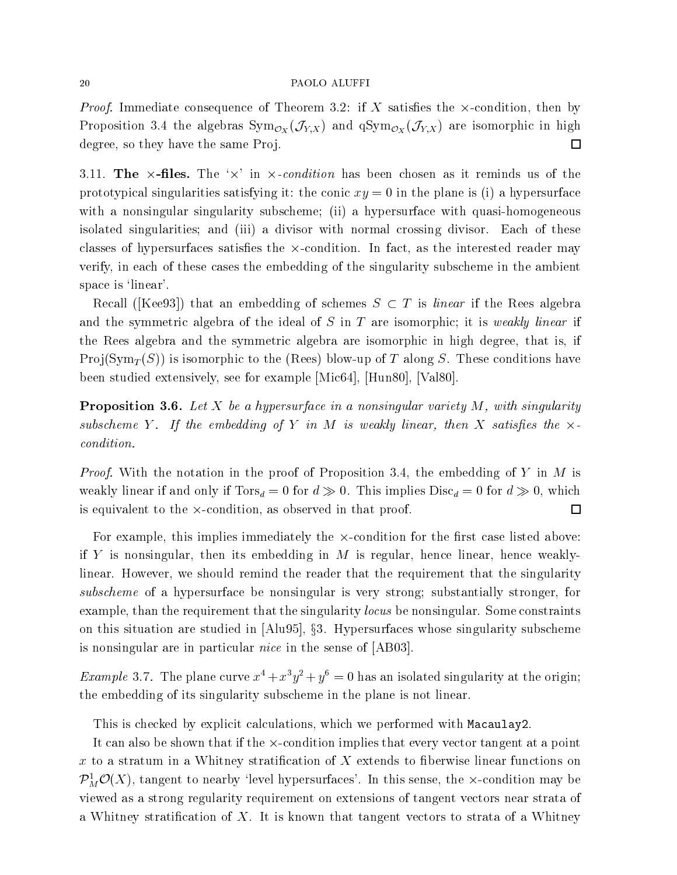Proof. Immediate consequence of Theorem 3.2: if X satises the --condition, then by Proposition 3.4 the algebras  $\text{Sym}_{\mathcal{O}_X}(\mathcal{J}_{Y,X})$  and  $\text{qSym}_{\mathcal{O}_X}(\mathcal{J}_{Y,X})$  are isomorphic in high degree, so they have the same Proj.  $\Box$ 

3.11. The  $\times$ -files. The ' $\times$ ' in  $\times$ -condition has been chosen as it reminds us of the prototypical singularities satisfying it: the conic  $xy = 0$  in the plane is (i) a hypersurface with a nonsingular singularity subscheme; (ii) a hypersurface with quasi-homogeneous isolated singularities; and (iii) a divisor with normal crossing divisor. Each of these classes of hypersurfaces satises the --condition. In fact, as the interested reader may verify, in each of these cases the embedding of the singularity subscheme in the ambient space is 'linear'.

Recall ([Kee93]) that an embedding of schemes  $S \subset T$  is *linear* if the Rees algebra and the symmetric algebra of the ideal of  $S$  in  $T$  are isomorphic; it is weakly linear if the Rees algebra and the symmetric algebra are isomorphic in high degree, that is, if  $Proj(Sym<sub>T</sub>(S))$  is isomorphic to the (Rees) blow-up of T along S. These conditions have been studied extensively, see for example [Mic64], [Hun80], [Val80].

**Proposition 3.6.** Let X be a hypersurface in a nonsingular variety  $M$ , with singularity subscheme Y. If the embedding of Y in M is weakly linear, then X satisfies the  $\times$ condition.

*Proof.* With the notation in the proof of Proposition 3.4, the embedding of Y in M is weakly linear if and only if  $Tors_d = 0$  for  $d \gg 0$ . This implies  $Disc_d = 0$  for  $d \gg 0$ , which  $\Box$ is equivalent to the --condition, as observed in that proof.

For example, this implies immediately the --condition for the rst case listed above: if Y is nonsingular, then its embedding in M is regular, hence linear, hence weaklylinear. However, we should remind the reader that the requirement that the singularity subscheme of a hypersurface be nonsingular is very strong; substantially stronger, for example, than the requirement that the singularity *locus* be nonsingular. Some constraints on this situation are studied in  $[Alu95], \S3.$  Hypersurfaces whose singularity subscheme is nonsingular are in particular nice in the sense of [AB03].

*Example* 3.7. The plane curve  $x^4 + x^3y^2 + y^6 = 0$  has an isolated singularity at the origin; the embedding of its singularity subscheme in the plane is not linear.

This is checked by explicit calculations, which we performed with Macaulay2.

-condition is that if the shown that if the modelling the state of the state that  $\eta$  if the state  $\eta$  $x$  to a stratum in a Whitney stratification of  $X$  extends to fiberwise linear functions on  $\mathcal{P}_M^1\mathcal{O}(X)$ , tangent to nearby 'level hypersurfaces'. In this sense, the ×-condition may be viewed asa strong regularity requirement on extensions of tangent vectors near strata of a Whitney stratification of  $X$ . It is known that tangent vectors to strata of a Whitney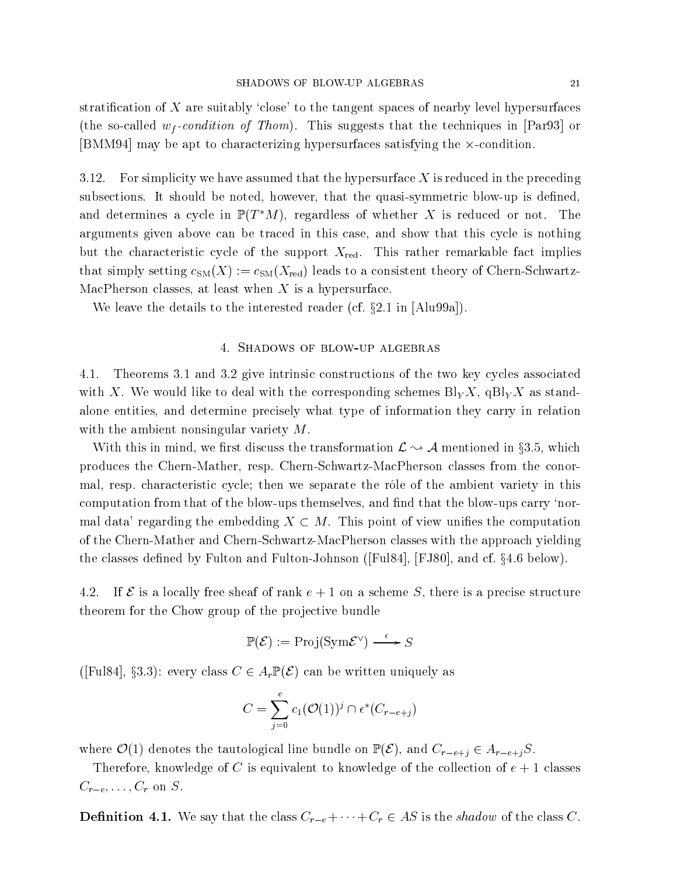stratification of  $X$  are suitably 'close' to the tangent spaces of nearby level hypersurfaces (the so-called  $w_f$ -condition of Thom). This suggests that the techniques in [Par93] or [BMM94] may be apt to characterizing hypersurfaces satisfying the --condition.

3.12. For simplicity we have assumed that the hypersurface  $X$  is reduced in the preceding subsections. It should be noted, however, that the quasi-symmetric blow-up is defined, and determines a cycle in  $\mathbb{P}(T^*M)$ , regardless of whether X is reduced or not. The arguments given above can be traced in this case, and show that this cycle is nothing but the characteristic cycle of the support  $X_{\text{red}}$ . This rather remarkable fact implies that simply setting  $c_{SM}(X) := c_{SM}(X_{\text{red}})$  leads to a consistent theory of Chern-Schwartz-MacPherson classes, at least when  $X$  is a hypersurface.

We leave the details to the interested reader (cf.  $\S 2.1$  in  $\text{[Alu99a]}$ ).

## 4. Shadows of blow-up algebras

4.1. Theorems 3.1 and 3.2 give intrinsic constructions of the two key cycles associated with X. We would like to deal with the corresponding schemes  $B\vert_{Y}X$ , q $B\vert_{Y}X$  as standalone entities, and determine precisely what type of information they carry in relation with the ambient nonsingular variety  $M$ .

With this in mind, we first discuss the transformation  $\mathcal{L} \rightarrow \mathcal{A}$  mentioned in §3.5, which produces the Chern-Mather, resp. Chern-Schwartz-MacPherson classes from the conormal, resp. characteristic cycle; then we separate the r^ole of the ambient variety in this computation from that of the blow-ups themselves, and find that the blow-ups carry 'normal data' regarding the embedding  $X \subset M$ . This point of view unifies the computation of the Chern-Mather and Chern-Schwartz-MacPherson classes with the approach yielding the classes defined by Fulton and Fulton-Johnson ([Ful84], [FJ80], and cf.  $\S 4.6$  below).

4.2. If  $\mathcal E$  is a locally free sheaf of rank  $e + 1$  on a scheme S, there is a precise structure theorem for the Chow group of the projective bundle

$$
\mathbb{P}(\mathcal{E}) := \text{Proj}(\text{Sym}\mathcal{E}^{\vee}) \xrightarrow{\epsilon} S
$$

([Ful84], §3.3): every class  $C \in A_r \mathbb{P}(\mathcal{E})$  can be written uniquely as

$$
C=\sum_{j=0}^e c_1(\mathcal{O}(1))^j\cap \epsilon^*(C_{r-e+j})
$$

where  $\mathcal{O}(1)$  denotes the tautological line bundle on  $\mathbb{P}(\mathcal{E})$ , and  $C_{r-e+j} \in A_{r-e+j}S$ .

Therefore, knowledge of C is equivalent to knowledge of the collection of  $e + 1$  classes  $C_{r-e},\ldots,C_r$  on S.

**Definition 4.1.** We say that the class  $C_{r-e} + \cdots + C_r \in AS$  is the shadow of the class C.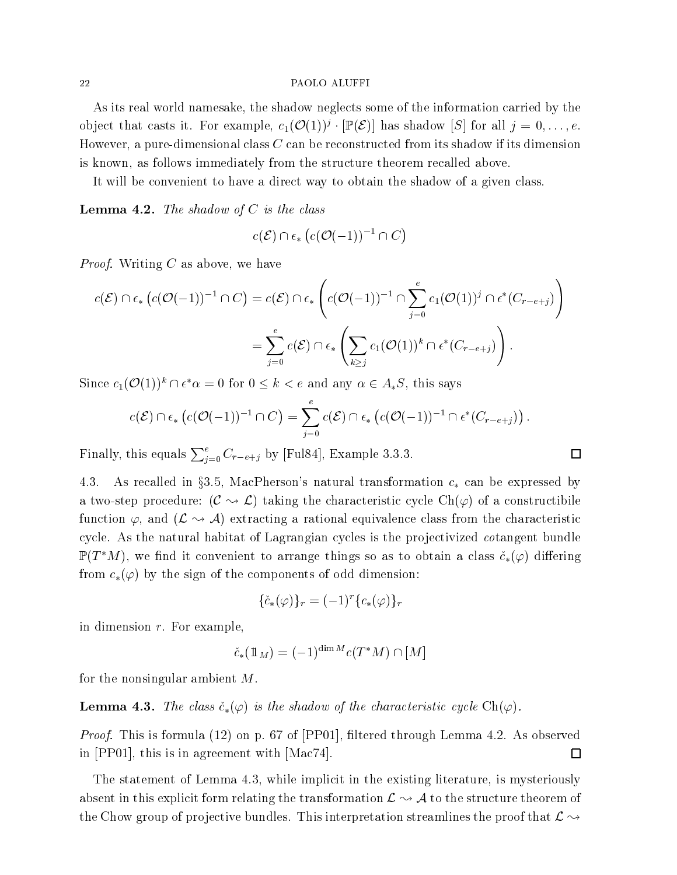As its real world namesake, the shadow neglects some of the information carried by the object that casts it. For example,  $c_1(\mathcal{O}(1))^\circ$  ·  $|\mathbb{F}(\mathcal{L})|$  has shadow  $|\mathcal{S}|$  for all  $j=0,\ldots,e.$ However, a pure-dimensional class C can be reconstructed from its shadow if its dimension is known, as follows immediately from the structure theorem recalled above.

It will be convenient to have a direct way to obtain the shadow of a given class.

**Lemma 4.2.** The shadow of  $C$  is the class

$$
c(\mathcal{E}) \cap \epsilon_* \left( c(\mathcal{O}(-1))^{-1} \cap C \right)
$$

*Proof.* Writing  $C$  as above, we have

$$
c(\mathcal{E}) \cap \epsilon_* \left( c(\mathcal{O}(-1))^{-1} \cap C \right) = c(\mathcal{E}) \cap \epsilon_* \left( c(\mathcal{O}(-1))^{-1} \cap \sum_{j=0}^e c_1(\mathcal{O}(1))^j \cap \epsilon^*(C_{r-e+j}) \right)
$$
  
= 
$$
\sum_{j=0}^e c(\mathcal{E}) \cap \epsilon_* \left( \sum_{k \ge j} c_1(\mathcal{O}(1))^k \cap \epsilon^*(C_{r-e+j}) \right).
$$

Since  $c_1(\mathcal{O}(1))$  if  $\alpha = 0$  for  $0 \leq k \leq e$  and any  $\alpha \in A_*$ , this says

$$
c(\mathcal{E}) \cap \epsilon_* \left( c(\mathcal{O}(-1))^{-1} \cap C \right) = \sum_{j=0}^e c(\mathcal{E}) \cap \epsilon_* \left( c(\mathcal{O}(-1))^{-1} \cap \epsilon^*(C_{r-e+j}) \right).
$$

Finally, this equals  $\sum_{i=0}^{e} C_{r-e+j}$  by [Ful84], Example 3.3.3.

4.3. As recalled in  $\S 3.5$ , MacPherson's natural transformation  $c_*$  can be expressed by a two-step procedure:  $(C \leadsto C)$  taking the characteristic cycle  $Ch(\varphi)$  of a constructibile function  $\varphi$ , and  $(\mathcal{L} \leadsto \mathcal{A})$  extracting a rational equivalence class from the characteristic cycle. As the natural habitat of Lagrangian cycles is the projectivized *cotangent* bundle  $\mathbb{P}(T^*M)$ , we find it convenient to arrange things so as to obtain a class  $\check{c}_*(\varphi)$  differing from  $c_*(\varphi)$  by the sign of the components of odd dimension:

$$
\{\check{c}_*(\varphi)\}_r = (-1)^r \{c_*(\varphi)\}_r
$$

in dimension r. For example,

$$
\check{c}_*(1\!\!1_M) = (-1)^{\dim M} c(T^*M) \cap [M]
$$

for the nonsingular ambient M.

**Lemma 4.3.** The class  $\check{c}_*(\varphi)$  is the shadow of the characteristic cycle  $Ch(\varphi)$ .

*Proof.* This is formula (12) on p. 67 of [PP01], filtered through Lemma 4.2. As observed in [PP01], this is in agreement with [Mac74].  $\Box$ 

The statement of Lemma 4.3, while implicit in the existing literature, is mysteriously absent in this explicit form relating the transformation  $\mathcal{L} \rightarrow \mathcal{A}$  to the structure theorem of the Chow group of projective bundles. This interpretation streamlines the proof that  $\mathcal{L} \rightarrow$ 

 $\Box$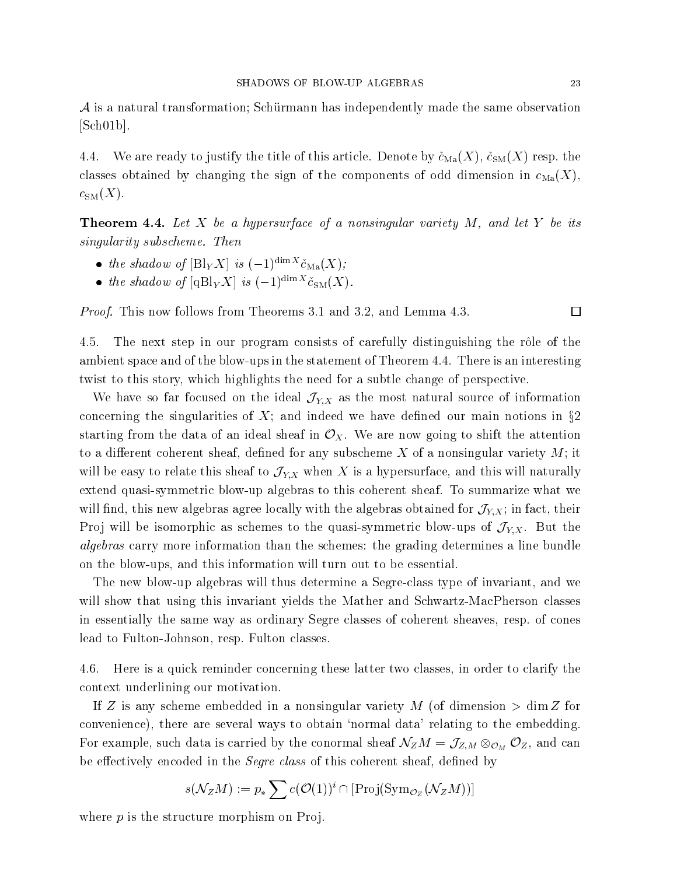$A$  is a natural transformation; Schürmann has independently made the same observation  $[Sch01b]$ .

4.4. We are ready to justify the title of this article. Denote by  $\check{c}_{\text{Ma}}(X)$ ,  $\check{c}_{\text{SM}}(X)$  resp. the classes obtained by changing the sign of the components of odd dimension in  $c_{\text{Ma}}(X)$ ,  $c_{\text{SM}}(X).$ 

**Theorem 4.4.** Let X be a hypersurface of a nonsingular variety  $M$ , and let Y be its singularity subscheme. Then

- the shadow of  $|\text{BlyA}|\$  is  $(-1)^{m+n}c_{\text{Ma}}(A)$ ;
- the shadow of  $|qB1_YA|$  is  $(-1)^{\dim X}c_{SM}(A)$ .

Proof. This now follows from Theorems 3.1 and 3.2, and Lemma 4.3.

4.5. The next step in our program consists of carefully distinguishing the rôle of the ambient space and of the blow-ups in the statement of Theorem 4.4. There is an interesting twist to this story, which highlights the need for a subtle change of perspective.

We have so far focused on the ideal  $\mathcal{J}_{Y,X}$  as the most natural source of information concerning the singularities of X; and indeed we have defined our main notions in  $\S2$ starting from the data of an ideal sheaf in  $\mathcal{O}_X$ . We are now going to shift the attention to a different coherent sheaf, defined for any subscheme  $X$  of a nonsingular variety  $M$ ; it will be easy to relate this sheaf to  $\mathcal{J}_{Y,X}$  when X is a hypersurface, and this will naturally extend quasi-symmetric blow-up algebras to this coherent sheaf. To summarize what we will find, this new algebras agree locally with the algebras obtained for  $\mathcal{J}_{Y,X}$ ; in fact, their Proj will be isomorphic as schemes to the quasi-symmetric blow-ups of  $\mathcal{J}_{Y,X}$ . But the algebras carry more information than the schemes: the grading determines a line bundle on the blow-ups, and this information will turn out to be essential.

The new blow-up algebras will thus determine a Segre-class type of invariant, and we will show that using this invariant yields the Mather and Schwartz-MacPherson classes in essentially the same way as ordinary Segre classes of coherent sheaves, resp. of cones lead to Fulton-Johnson, resp. Fulton classes.

4.6. Here is a quick reminder concerning these latter two classes, in order to clarify the context underlining our motivation.

If Z is any scheme embedded in a nonsingular variety M (of dimension  $\geq \dim Z$  for convenience), there are several ways to obtain `normal data' relating to the embedding. For example, such data is carried by the conormal sheaf NZ,  $\mathcal{L}_{M}$  and  $\mathcal{L}_{M}$  =  $\mathcal{L}_{M}$ ; be effectively encoded in the *Segre class* of this coherent sheaf, defined by

$$
s(\mathcal{N}_Z M) := p_* \sum c(\mathcal{O}(1))^i \cap [\mathrm{Proj}(\mathrm{Sym}_{\mathcal{O}_Z}(\mathcal{N}_Z M))]
$$

where  $p$  is the structure morphism on Proj.

 $\Box$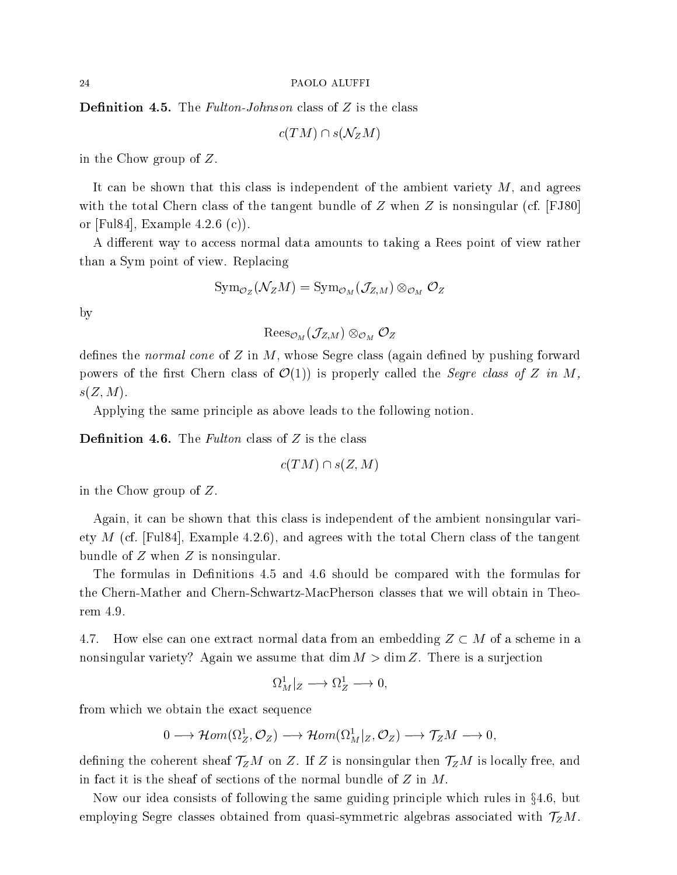**Definition 4.5.** The *Fulton-Johnson* class of  $Z$  is the class

 $c(TM) \cap s(\mathcal{N}_Z M)$ 

in the Chow group of Z.

It can be shown that this class is independent of the ambient variety  $M$ , and agrees with the total Chern class of the tangent bundle of Z when Z is nonsingular (cf. [FJ80] or [Ful84], Example 4.2.6 (c)).

A different way to access normal data amounts to taking a Rees point of view rather than a Sym point of view. Replacing

$$
\mathrm{Sym}_{\mathcal{O}_Z}(\mathcal{N}_Z M)=\mathrm{Sym}_{\mathcal{O}_M}(\mathcal{J}_{Z,M})\otimes_{\mathcal{O}_M}\mathcal{O}_Z
$$

by

$$
\mathrm{Rees}_{\mathcal{O}_M}(\mathcal{J}_{Z,M})\otimes_{\mathcal{O}_M}\mathcal{O}_Z
$$

defines the *normal cone* of  $Z$  in  $M$ , whose Segre class (again defined by pushing forward powers of the first Chern class of  $\mathcal{O}(1)$  is properly called the *Segre class of* Z in M,  $s(Z,M)$ .

Applying the same principle as above leads to the following notion.

**Definition 4.6.** The *Fulton* class of  $Z$  is the class

 $c(TM) \cap s(Z,M)$ 

in the Chow group of Z.

Again, it can be shown that this class is independent of the ambient nonsingular variety  $M$  (cf. [Ful84], Example 4.2.6), and agrees with the total Chern class of the tangent bundle of Z when Z is nonsingular.

The formulas in Definitions 4.5 and 4.6 should be compared with the formulas for the Chern-Mather and Chern-Schwartz-MacPherson classes that we will obtain in Theorem 4.9.

4.7. How else can one extract normal data from an embedding  $Z \subset M$  of a scheme in a nonsingular variety? Again we assume that dim  $M > \dim Z$ . There is a surjection

$$
\Omega^1_M|_Z \longrightarrow \Omega^1_Z \longrightarrow 0,
$$

from which we obtain the exact sequence

$$
0 \longrightarrow \mathcal{H}om(\Omega^1_Z, \mathcal{O}_Z) \longrightarrow \mathcal{H}om(\Omega^1_M|_Z, \mathcal{O}_Z) \longrightarrow \mathcal{T}_ZM \longrightarrow 0,
$$

defining the coherent sheaf  $\mathcal{T}_Z M$  on Z. If Z is nonsingular then  $\mathcal{T}_Z M$  is locally free, and in fact it is the sheaf of sections of the normal bundle of  $Z$  in  $M$ .

Now our idea consists of following the same guiding principle which rules in  $\S 4.6$ , but employing Segre classes obtained from quasi-symmetric algebras associated with  $\mathcal{T}_Z M$ .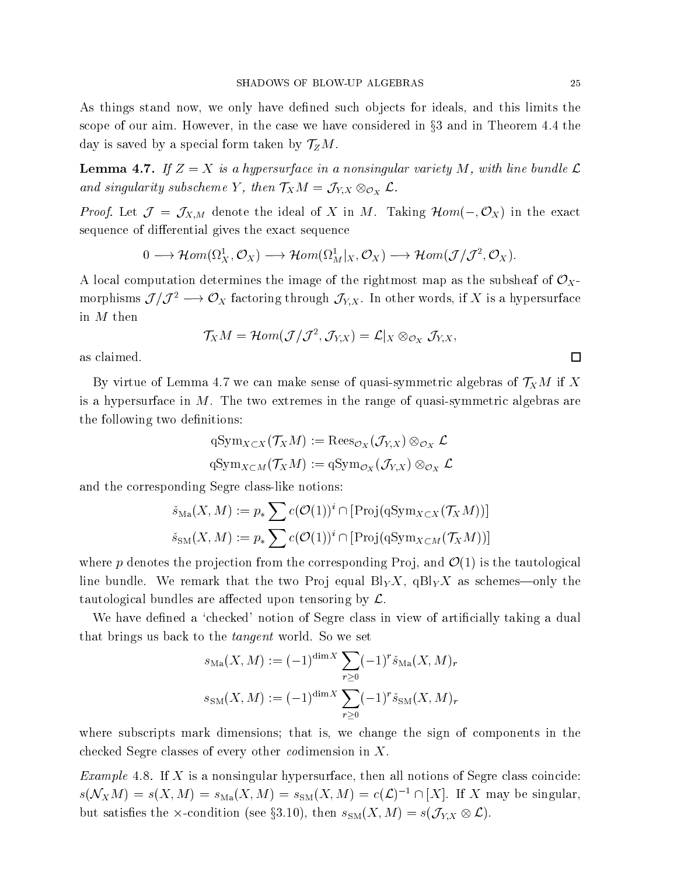As things stand now, we only have defined such objects for ideals, and this limits the scope of our aim. However, in the case we have considered in  $\S$ 3 and in Theorem 4.4 the day is saved by a special form taken by  $\mathcal{T}_Z M$ .

**Lemma 4.7.** If  $Z = X$  is a hypersurface in a nonsingular variety M, with line bundle  $\mathcal{L}$ and singularity subscriptions of  $\mathcal{A}$  ,  $\mathcal{A}$  ,  $\mathcal{A}$  ,  $\mathcal{A}$  ,  $\mathcal{A}$  ,  $\mathcal{A}$  ,  $\mathcal{A}$ 

*Proof.* Let  $\mathcal{J} = \mathcal{J}_{X,M}$  denote the ideal of X in M. Taking  $\mathcal{H}om(-,\mathcal{O}_X)$  in the exact sequence of differential gives the exact sequence

$$
0 \longrightarrow \mathcal{H}om(\Omega_X^1, \mathcal{O}_X) \longrightarrow \mathcal{H}om(\Omega_M^1|_X, \mathcal{O}_X) \longrightarrow \mathcal{H}om(\mathcal{J}/\mathcal{J}^2, \mathcal{O}_X).
$$

A local computation determines the image of the rightmost map as the subsheaf of  $\mathcal{O}_X$ morphisms  $\mathcal{J}/\mathcal{J}^2 \longrightarrow \mathcal{O}_X$  factoring through  $\mathcal{J}_{Y,X}$ . In other words, if X is a hypersurface in M then

$$
\mathcal{T}_X M=\mathcal{H}om(\mathcal{J}/\mathcal{J}^2,\mathcal{J}_{Y,X})=\mathcal{L}|_X\otimes_{\mathcal{O}_X}\mathcal{J}_{Y,X},
$$

as claimed.

By virtue of Lemma 4.7 we can make sense of quasi-symmetric algebras of  $\mathcal{T}_X M$  if X is a hypersurface in  $M$ . The two extremes in the range of quasi-symmetric algebras are the following two definitions:

$$
\mathrm{qSym}_{X \subset X}(\mathcal{T}_X M) := \mathrm{Rees}_{\mathcal{O}_X}(\mathcal{J}_{Y,X}) \otimes_{\mathcal{O}_X} \mathcal{L}
$$
  

$$
\mathrm{qSym}_{X \subset M}(\mathcal{T}_X M) := \mathrm{qSym}_{\mathcal{O}_X}(\mathcal{J}_{Y,X}) \otimes_{\mathcal{O}_X} \mathcal{L}
$$

and the corresponding Segre class-like notions:

$$
\check{s}_{\text{Ma}}(X, M) := p_* \sum c(\mathcal{O}(1))^i \cap [\text{Proj}(q\text{Sym}_{X \subset X}(\mathcal{T}_X M))]
$$

$$
\check{s}_{\text{SM}}(X, M) := p_* \sum c(\mathcal{O}(1))^i \cap [\text{Proj}(q\text{Sym}_{X \subset M}(\mathcal{T}_X M))]
$$

where p denotes the projection from the corresponding Proj, and  $\mathcal{O}(1)$  is the tautological line bundle. We remark that the two Proj equal  $Bl_Y X$ , q $Bl_Y X$  as schemes—only the tautological bundles are affected upon tensoring by  $\mathcal{L}$ .

We have defined a 'checked' notion of Segre class in view of artificially taking a dual that brings us back to the tangent world. So we set

$$
s_{\text{Ma}}(X, M) := (-1)^{\dim X} \sum_{r \ge 0} (-1)^r \check{s}_{\text{Ma}}(X, M)_r
$$
  

$$
s_{\text{SM}}(X, M) := (-1)^{\dim X} \sum_{r \ge 0} (-1)^r \check{s}_{\text{SM}}(X, M)_r
$$

where subscripts mark dimensions; that is, we change the sign of components in the checked Segre classes of every other codimension in X.

*Example* 4.8. If X is a nonsingular hypersurface, then all notions of Segre class coincide:  $s(\mathcal{N}_X M) = s(X, M) = s_{\text{Ma}}(X, M) = s_{\text{SM}}(X, M) = c(\mathcal{L})^{-1} \cap [X]$ . If X may be singular,  $\setminus$  but some  $\setminus$  but  $\setminus$   $\setminus$   $\setminus$   $\setminus$   $\setminus$   $\setminus$   $\setminus$   $\setminus$   $\setminus$   $\setminus$   $\setminus$   $\setminus$   $\setminus$   $\setminus$ 

 $\Box$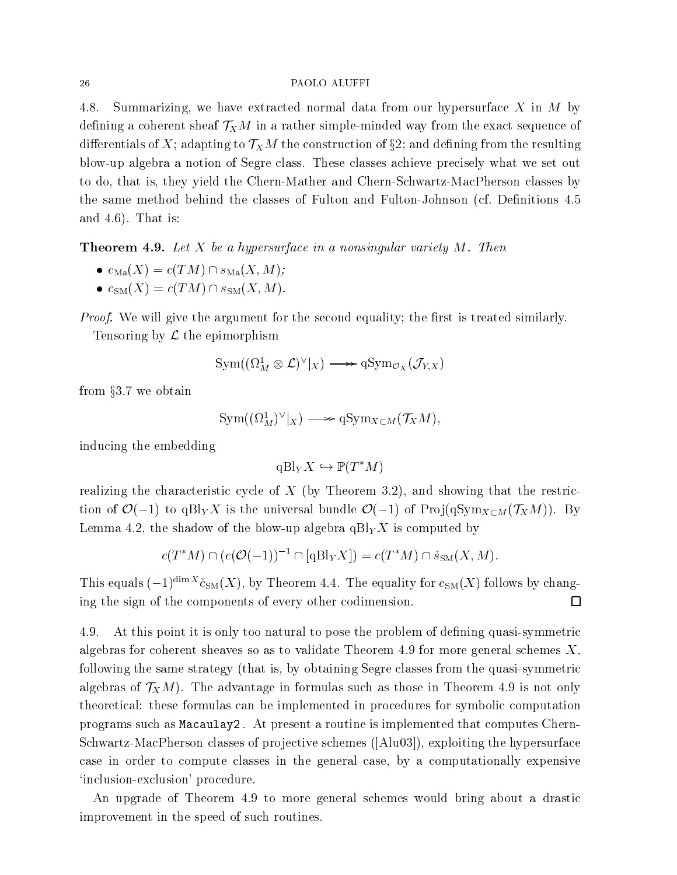4.8. Summarizing, we have extracted normal data from our hypersurface X in M by defining a coherent sheaf  $\mathcal{T}_X M$  in a rather simple-minded way from the exact sequence of differentials of X; adapting to  $\mathcal{T}_X M$  the construction of §2; and defining from the resulting blow-up algebra a notion of Segre class. These classes achieve precisely what we set out to do, that is, they yield the Chern-Mather and Chern-Schwartz-MacPherson classes by the same method behind the classes of Fulton and Fulton-Johnson (cf. Definitions 4.5 and 4.6). That is:

**Theorem 4.9.** Let X be a hypersurface in a nonsingular variety  $M$ . Then

- $c_{\text{Ma}}(X) = c(TM) \cap s_{\text{Ma}}(X,M);$
- $c_{\text{SM}}(X) = c(TM) \cap s_{\text{SM}}(X,M).$

*Proof.* We will give the argument for the second equality; the first is treated similarly.

Tensoring by  $\mathcal L$  the epimorphism

$$
\mathrm{Sym}((\Omega^1_M \otimes \mathcal{L})^{\vee}|_X) \longrightarrow \mathrm{qSym}_{\mathcal{O}_X}(\mathcal{J}_{Y,X})
$$

from  $\S 3.7$  we obtain

$$
\mathrm{Sym}((\Omega^1_M)^{\vee}|_X) \longrightarrow \mathrm{qSym}_{X \subset M}(\mathcal{T}_X M),
$$

inducing the embedding

$$
qBl_Y X \hookrightarrow \mathbb{P}(T^*M)
$$

realizing the characteristic cycle of  $X$  (by Theorem 3.2), and showing that the restriction of  $\mathcal{O}(-1)$  to  $qBl_Y X$  is the universal bundle  $\mathcal{O}(-1)$  of Proj $(qSym_{X\subset M}(\mathcal{T}_XM))$ . By Lemma 4.2, the shadow of the blow-up algebra  $qBl_YX$  is computed by

$$
c(T^*M) \cap (c(\mathcal{O}(-1))^{-1} \cap [qBl_YX]) = c(T^*M) \cap \check{s}_{SM}(X,M).
$$

This equals  $(-1)^{n+1}c_{\text{SM}}(X)$ , by Theorem 4.4. The equality for  $c_{\text{SM}}(X)$  follows by changing the sign of the components of every other codimension.  $\Box$ 

4.9. At this point it is only too natural to pose the problem of defining quasi-symmetric algebras for coherent sheaves so as to validate Theorem 4.9 for more general schemes  $X$ . following the same strategy (that is, by obtaining Segre classes from the quasi-symmetric algebras of  $\mathcal{T}_X M$ ). The advantage in formulas such as those in Theorem 4.9 is not only theoretical: these formulas can be implemented in procedures for symbolic computation programs such as Macaulay2. At present a routine is implemented that computes Chern-Schwartz-MacPherson classes of projective schemes ([Alu03]), exploiting the hypersurface case in order to compute classes in the general case, by a computationally expensive `inclusion-exclusion' procedure.

An upgrade of Theorem 4.9 to more general schemes would bring about a drastic improvement in the speed of such routines.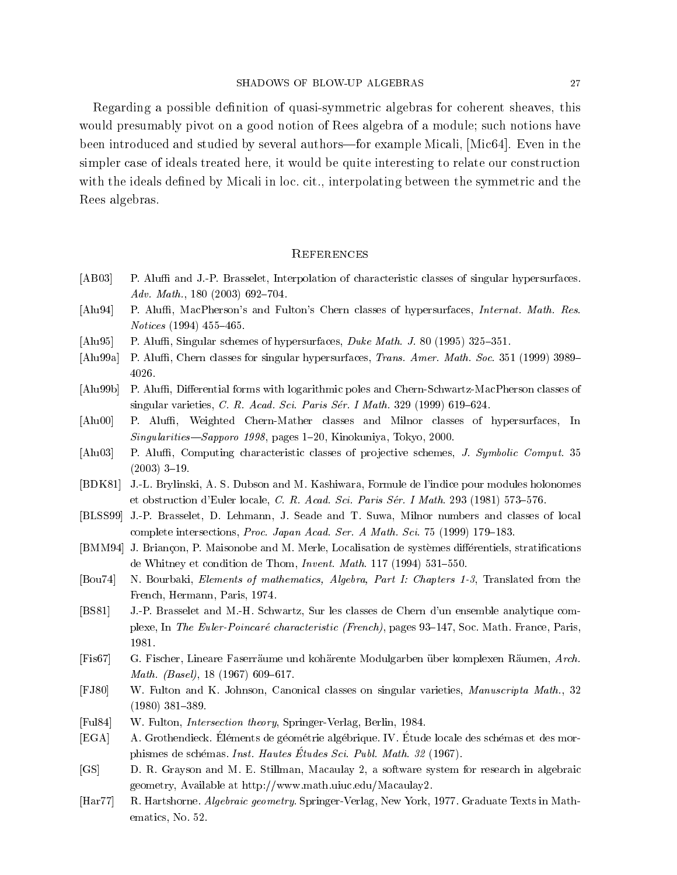Regarding a possible definition of quasi-symmetric algebras for coherent sheaves, this would presumably pivot on a good notion of Rees algebra of a module; such notions have been introduced and studied by several authors—for example Micali, [Mic64]. Even in the simpler case of ideals treated here, it would be quite interesting to relate our construction with the ideals defined by Micali in loc. cit., interpolating between the symmetric and the Rees algebras.

### **REFERENCES**

- [AB03] P. Aluffi and J.-P. Brasselet, Interpolation of characteristic classes of singular hypersurfaces. Adv. Math.,  $180$  (2003) 692-704.
- [Alu94] P. Aluffi, MacPherson's and Fulton's Chern classes of hypersurfaces, *Internat. Math. Res.*  $Notices (1994) 455-465.$
- [Alu95] P. Aluffi, Singular schemes of hypersurfaces, *Duke Math. J.* 80 (1995) 325-351.
- [Alu99a] P. Aluffi, Chern classes for singular hypersurfaces, *Trans. Amer. Math. Soc.* 351 (1999) 3989–
- [Alu99b] P. Aluffi, Differential forms with logarithmic poles and Chern-Schwartz-MacPherson classes of singular varieties, C. R. Acad. Sci. Paris Sér. I Math. 329 (1999) 619-624.
- [Alu00] P. Aluffi, Weighted Chern-Mather classes and Milnor classes of hypersurfaces, In  $Singularities \rightarrow Sapporo$  1998, pages 1-20, Kinokuniya, Tokyo, 2000.
- [Alu03] P. Aluffi, Computing characteristic classes of projective schemes, *J. Symbolic Comput.* 35  $(2003)$  3-19.
- [BDK81] J.-L. Brylinski, A. S. Dubson and M. Kashiwara, Formule de l'indice pour modules holonomes et obstruction d'Euler locale, C. R. Acad. Sci. Paris Sér. I Math. 293 (1981) 573-576.
- [BLSS99] J.-P. Brasselet, D. Lehmann, J. Seade and T. Suwa, Milnor numbers and classes of local complete intersections, Proc. Japan Acad. Ser. A Math. Sci. 75 (1999) 179-183.
- [BMM94] J. Briançon, P. Maisonobe and M. Merle, Localisation de systèmes différentiels, stratifications de Whitney et condition de Thom, Invent. Math. 117 (1994) 531-550.
- [Bou74] N. Bourbaki, Elements of mathematics, Algebra, Part I: Chapters 1-3, Translated from the French, Hermann, Paris, 1974.
- [BS81] J.-P. Brasselet and M.-H. Schwartz, Sur les classes de Chern d'un ensemble analytique complexe, In The Euler-Poincaré characteristic (French), pages 93–147, Soc. Math. France, Paris, 1981.
- [Fis67] G. Fischer, Lineare Faserraume und koharente Modulgarben uber komplexen Raumen, Arch. Math. (Basel),  $18$  (1967) 609-617.
- [FJ80] W. Fulton and K. Johnson, Canonical classes on singular varieties, Manuscripta Math., 32  $(1980)$  381-389.
- [Ful84] W. Fulton, Intersection theory, Springer-Verlag, Berlin, 1984.
- [EGA] A. Grothendieck. El ements de geometrie algebrique. IV. Etude locale des sc hemas et des morphismes de schemas. Inst. Hautes Etudes Sci. Publ. Math. 32 (1967).
- [GS] D. R. Grayson and M. E. Stillman, Macaulay 2, a software system for research in algebraic geometry, Available at http://www.math.uiuc.edu/Macaulay2.
- [Har77] R. Hartshorne. Algebraic geometry. Springer-Verlag, New York, 1977. Graduate Texts in Mathematics, No. 52.